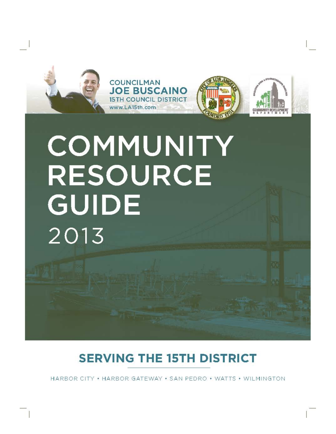







# **COMMUNITY** RESOURCE GUIDE 2013

# **SERVING THE 15TH DISTRICT**

HARBOR CITY • HARBOR GATEWAY • SAN PEDRO • WATTS • WILMINGTON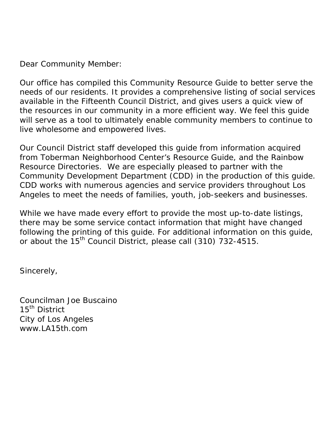Dear Community Member:

Our office has compiled this *Community Resource Guide* to better serve the needs of our residents. It provides a comprehensive listing of social services available in the Fifteenth Council District, and gives users a quick view of the resources in our community in a more efficient way. We feel this guide will serve as a tool to ultimately enable community members to continue to live wholesome and empowered lives.

Our Council District staff developed this guide from information acquired from Toberman Neighborhood Center's Resource Guide, and the *Rainbow Resource Directories.* We are especially pleased to partner with the Community Development Department (CDD) in the production of this guide. CDD works with numerous agencies and service providers throughout Los Angeles to meet the needs of families, youth, job-seekers and businesses.

While we have made every effort to provide the most up-to-date listings, there may be some service contact information that might have changed following the printing of this guide. For additional information on this guide, or about the 15<sup>th</sup> Council District, please call (310) 732-4515.

Sincerely,

Councilman Joe Buscaino 15<sup>th</sup> District City of Los Angeles www.LA15th.com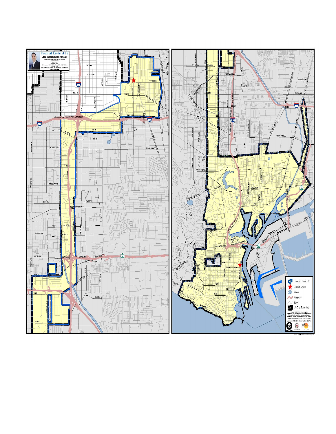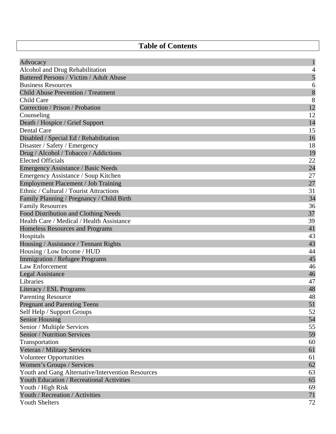# **Table of Contents**

| Advocacy                                          | $\mathbf 1$   |
|---------------------------------------------------|---------------|
| Alcohol and Drug Rehabilitation                   | 4             |
| Battered Persons / Victim / Adult Abuse           |               |
| <b>Business Resources</b>                         | $\frac{5}{6}$ |
| <b>Child Abuse Prevention / Treatment</b>         | 8             |
| Child Care                                        | 8             |
| Correction / Prison / Probation                   | 12            |
| Counseling                                        | 12            |
| Death / Hospice / Grief Support                   | 14            |
| Dental Care                                       | 15            |
| Disabled / Special Ed / Rehabilitation            | 16            |
| Disaster / Safety / Emergency                     | 18            |
| Drug / Alcohol / Tobacco / Addictions             | 19            |
| <b>Elected Officials</b>                          | 22            |
| Emergency Assistance / Basic Needs                | 24            |
| Emergency Assistance / Soup Kitchen               | 27            |
| <b>Employment Placement / Job Training</b>        | $27\,$        |
| Ethnic / Cultural / Tourist Attractions           | 31            |
| Family Planning / Pregnancy / Child Birth         | 34            |
| <b>Family Resources</b>                           | 36            |
| <b>Food Distribution and Clothing Needs</b>       | 37            |
| Health Care / Medical / Health Assistance         | 39            |
| Homeless Resources and Programs                   | 41            |
| Hospitals                                         | 43            |
| Housing / Assistance / Tennant Rights             | 43            |
| Housing / Low Income / HUD                        | 44            |
| Immigration / Refugee Programs                    | 45            |
| Law Enforcement                                   | 46            |
| <b>Legal Assistance</b>                           | 46            |
| Libraries                                         | 47            |
| Literacy / ESL Programs                           | 48            |
| <b>Parenting Resource</b>                         | 48            |
| <b>Pregnant and Parenting Teens</b>               | 51            |
| Self Help / Support Groups                        | 52            |
| <b>Senior Housing</b>                             | 54            |
| Senior / Multiple Services                        | 55            |
| <b>Senior / Nutrition Services</b>                | 59            |
| Transportation                                    | 60            |
| Veteran / Military Services                       | 61            |
| <b>Volunteer Opportunities</b>                    | 61            |
| Women's Groups / Services                         | 62            |
| Youth and Gang Alternative/Intervention Resources | 63            |
| Youth Education / Recreational Activities         | 65            |
| Youth / High Risk                                 | 69            |
| Youth / Recreation / Activities                   | 71            |
| <b>Youth Shelters</b>                             | 72            |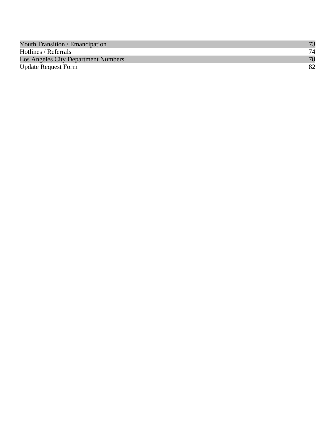| <b>Youth Transition / Emancipation</b> |    |
|----------------------------------------|----|
| Hotlines / Referrals                   | 74 |
| Los Angeles City Department Numbers    | 78 |
| <b>Update Request Form</b>             | 82 |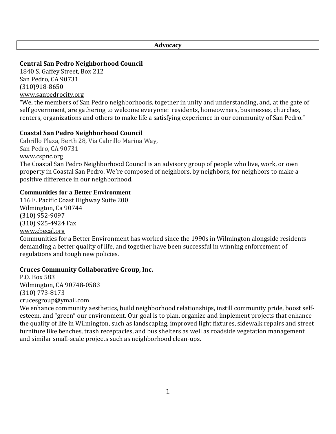**Advocacy** 

# **Central San Pedro Neighborhood Council**

1840 S. Gaffey Street, Box 212 San Pedro, CA 90731 (310)918‐8650 [www.sanpedrocity.org](http://www.sanpedrocity.org/)

"We, the members of San Pedro neighborhoods, together in unity and understanding, and, at the gate of self government, are gathering to welcome everyone: residents, homeowners, businesses, churches, renters, organizations and others to make life a satisfying experience in our community of San Pedro."

# **Coastal San Pedro Neighborhood Council**

Cabrillo Plaza, Berth 28, Via Cabrillo Marina Way, San Pedro, CA 90731 [www.cspnc.org](http://www.cspnc.org/) The Coastal San Pedro Neighborhood Council is an advisory group of people who live, work, or own property in Coastal San Pedro. We're composed of neighbors, by neighbors, for neighbors to make a positive difference in our neighborhood.

# **Communities for a Better Environment**

116 E. Pacific Coast Highway Suite 200 Wilmington, Ca 90744 (310) 952‐9097 (310) 925‐4924 Fax www.cbecal.org

[Communities for](http://www.cbecal.org/) a Better Environment has worked since the 1990s in Wilmington alongside residents demanding a better quality of life, and together have been successful in winning enforcement of regulations and tough new policies.

# **Cruces Community Collaborative Group, Inc.**

P.O. Box 583 Wilmington, CA 90748‐0583 (310) 773‐8173 [crucesgroup@ymail.com](mailto:crucesgroup@ymail.com) 

We enhance community aesthetics, build neighborhood relationships, instill community pride, boost selfesteem, and "green" our environment. Our goal is to plan, organize and implement projects that enhance the quality of life in Wilmington, such as landscaping, improved light fixtures, sidewalk repairs and street furniture like benches, trash receptacles, and bus shelters as well as roadside vegetation management and similar small‐scale projects such as neighborhood clean‐ups.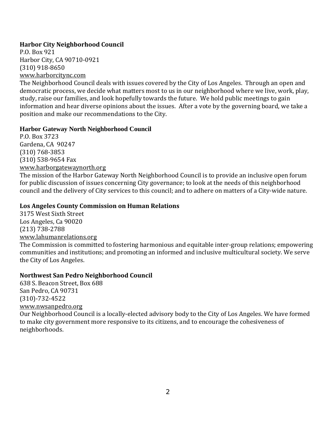# **Harbor City Neighborhood Council**

P.O. Box 921 Harbor City, CA 90710‐0921 (310) 918‐8650 [www.harborcit](mailto:board@harborcitync.com)[ync.com](http://www.harborcitync.com/) 

The Neighborhood Council deals with issues covered by the City of Los Angeles. Through an open and democratic process, we decide what matters most to us in our neighborhood where we live, work, play, study, raise our families, and look hopefully towards the future. We hold public meetings to gain information and hear diverse opinions about the issues. After a vote by the governing board, we take a position and make our recommendations to the City.

# **Harbor Gateway North Neighborhood Council**

P.O. Box 3723 Gardena, CA 90247 (310) 768‐3853 (310) 538‐9654 Fax [www.harborgatewaynorth.org](http://www.harborgatewaynorth.org/)

The mission of the Harbor Gateway North Neighborhood Council is to provide an inclusive open forum for public discussion of issues concerning City governance; to look at the needs of this neighborhood council and the delivery of City services to this council; and to adhere on matters of a City-wide nature.

# **Los Angeles County Commission on Human Relations**

3175 West Sixth Street Los Angeles, Ca 90020 (213) 738‐2788 www.lahumanrelations.org

[The Commission is committ](http://www.lahumanrelations.org/)ed to fostering harmonious and equitable inter‐group relations; empowering communities and institutions; and promoting an informed and inclusive multicultural society. We serve the City of Los Angeles.

# **Northwest San Pedro Neighborhood Council**

638 S. Beacon Street, Box 688 San Pedro, CA 90731 (310)‐732‐4522 [www.nwsanpedro.org](http://www.nwsanpedro.org/)

Our Neighborhood Council is a locally‐elected advisory body to the City of Los Angeles. We have formed to make city government more responsive to its citizens, and to encourage the cohesiveness of neighborhoods.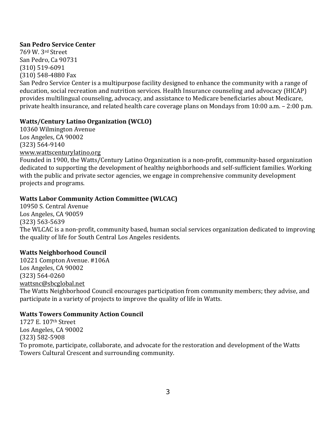#### **San Pedro Service Center**

769 W. 3rd Street San Pedro, Ca 90731 (310) 519‐6091 (310) 548‐4880 Fax San Pedro Service Center is a multipurpose facility designed to enhance the community with a range of education, social recreation and nutrition services. Health Insurance counseling and advocacy (HICAP) provides multilingual counseling, advocacy, and assistance to Medicare beneficiaries about Medicare, private health insurance, and related health care coverage plans on Mondays from 10:00 a.m. – 2:00 p.m.

# **Watts/Century Latino Organization (WCLO)**

10360 Wilmington Avenue Los Angeles, CA 90002 (323) 564‐9140 www.wattscenturylatino.org

[Founded in 1900, the Watts/C](http://www.wattscenturylatino.org/)entury Latino Organization is a non‐profit, community‐based organization dedicated to supporting the development of healthy neighborhoods and self‐sufficient families. Working with the public and private sector agencies, we engage in comprehensive community development projects and programs.

# **Watts Labor Community Action Committee (WLCAC)**

10950 S. Central Avenue Los Angeles, CA 90059 (323) 563‐5639 The WLCAC is a non‐profit, community based, human social services organization dedicated to improving the quality of life for South Central Los Angeles residents.

# **Watts Neighborhood Council**

10221 Compton Avenue. #106A Los Angeles, CA 90002 (323) 564‐0260 [wattsnc@sbcglobal.net](mailto:wattsnc@sbcglobal.net)

The Watts Neighborhood Council encourages participation from community members; they advise, and participate in a variety of projects to improve the quality of life in Watts.

# **Watts Towers Community Action Council**

1727 E. 107th Street Los Angeles, CA 90002 (323) 582‐5908 To promote, participate, collaborate, and advocate for the restoration and development of the Watts Towers Cultural Crescent and surrounding community.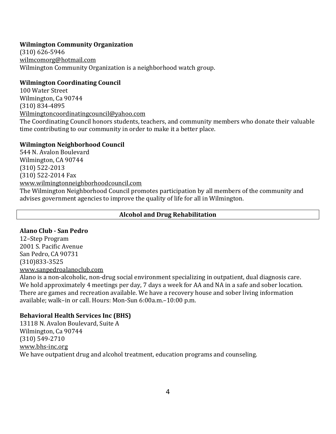# **Wilmington Community Organization**

(310) 626‐5946 [wilmcomorg@hotmail.com](mailto:wilmcomorg@hotmail.com)  Wilmington Community Organization is a neighborhood watch group.

#### **Wilmington Coordinating Council**

100 Water Street Wilmington, Ca 90744 (310) 834‐4895 [Wilmingtoncoordinatingcouncil@yahoo.com](mailto:Wilmingtoncoordinatingcouncil@yahoo.com) The Coordinating Council honors students, teachers, and community members who donate their valuable time contributing to our community in order to make it a better place.

#### **Wilmington Neighborhood Council**

544 N. Avalon Boulevard Wilmington, CA 90744 (310) 522‐2013 (310) 522‐2014 Fax www.wilmingtonneighborhoodcouncil.com

[The Wilmington Neighborhood Council prom](http://www.wilmingtonneighborhoodcouncil.com/)otes participation by all members of the community and advises government agencies to improve the quality of life for all in Wilmington.

# **Alcohol and Drug Rehabilitation**

# **Alano Club San Pedro**

12–Step Program 2001 S. Pacific Avenue San Pedro, CA 90731 (310)833‐3525 [www.sanpedroalanoclub.com](http://www.sanpedroalanoclub.com/)

Alano is a non‐alcoholic, non‐drug social environment specializing in outpatient, dual diagnosis care. We hold approximately 4 meetings per day, 7 days a week for AA and NA in a safe and sober location. There are games and recreation available. We have a recovery house and sober living information available; walk–in or call. Hours: Mon‐Sun 6:00a.m.–10:00 p.m.

#### **Behavioral Health Services Inc (BHS)**

13118 N. Avalon Boulevard, Suite A Wilmington, Ca 90744 (310) 549‐2710 [www.bhs‐inc.org](http://www.bhs-inc.org/)  We have outpatient drug and alcohol treatment, education programs and counseling.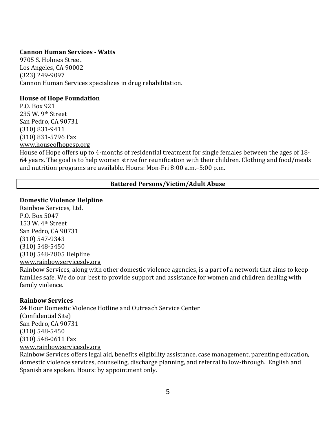#### **Cannon Human Services Watts**

9705 S. Holmes Street Los Angeles, CA 90002 (323) 249‐9097 Cannon Human Services specializes in drug rehabilitation.

#### **House of Hope Foundation**

P.O. Box 921 235 W. 9th Street San Pedro, CA 90731 (310) 831‐9411 (310) 831‐5796 Fax [www.houseofhopesp.org](http://www.houseofhopesp.org/)

House of Hope offers up to 4‐months of residential treatment for single females between the ages of 18‐ 64 years. The goal is to help women strive for reunification with their children. Clothing and food/meals and nutrition programs are available. Hours: Mon‐Fri 8:00 a.m.–5:00 p.m.

#### **Battered Persons/Victim/Adult Abuse**

#### **Domestic Violence Helpline**

Rainbow Services, Ltd. P.O. Box 5047 153 W. 4th Street San Pedro, CA 90731 (310) 547‐9343 (310) 548‐5450 (310) 548‐2805 Helpline www.rainbowservicesdv.org [Rainbow Services, along with](http://www.rainbowservicesdv.org/) other domestic violence agencies, is a part of a network that aims to keep families safe. We do our best to provide support and assistance for women and children dealing with

#### **Rainbow Services**

family violence.

24 Hour Domestic Violence Hotline and Outreach Service Center (Confidential Site) San Pedro, CA 90731 (310) 548‐5450 (310) 548‐0611 Fax www.rainbowservicesdv.org

[Rainbow Services offers legal](http://www.rainbowservicesdv.org/) aid, benefits eligibility assistance, case management, parenting education, domestic violence services, counseling, discharge planning, and referral follow‐through. English and Spanish are spoken. Hours: by appointment only.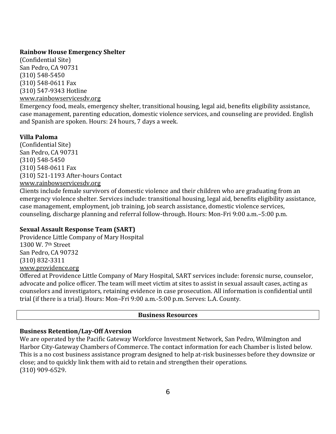#### **Rainbow House Emergency Shelter**

(Confidential Site) San Pedro, CA 90731 (310) 548‐5450 (310) 548‐0611 Fax (310) 547‐9343 Hotline www.rainbowservicesdv.org

[Emergency food, meals, emer](http://www.rainbowservicesdv.org/)gency shelter, transitional housing, legal aid, benefits eligibility assistance, case management, parenting education, domestic violence services, and counseling are provided. English and Spanish are spoken. Hours: 24 hours, 7 days a week.

# **Villa Paloma**

(Confidential Site) San Pedro, CA 90731 (310) 548‐5450 (310) 548‐0611 Fax [\(310\) 521‐1193 After‐hours C](http://www.rainbowservicesdv.org/)ontact www.rainbowservicesdv.org

Clients include female survivors of domestic violence and their children who are graduating from an emergency violence shelter. Services include: transitional housing, legal aid, benefits eligibility assistance, case management, employment, job training, job search assistance, domestic violence services, counseling, discharge planning and referral follow‐through. Hours: Mon‐Fri 9:00 a.m.–5:00 p.m.

# **Sexual Assault Response Team (SART)**

Providence Little Company of Mary Hospital 1300 W. 7th Street San Pedro, CA 90732 (310) 832‐3311 [www.providence.org](http://www.providence.org/) 

Offered at Providence Little Company of Mary Hospital, SART services include: forensic nurse, counselor, advocate and police officer. The team will meet victim at sites to assist in sexual assault cases, acting as counselors and investigators, retaining evidence in case prosecution. All information is confidential until trial (if there is a trial). Hours: Mon–Fri 9:00 a.m.‐5:00 p.m. Serves: L.A. County.

# **Business Resources**

# **Business Retention/LayOff Aversion**

We are operated by the Pacific Gateway Workforce Investment Network, San Pedro, Wilmington and Harbor City‐Gateway Chambers of Commerce. The contact information for each Chamber is listed below. This is a no cost business assistance program designed to help at‐risk businesses before they downsize or close; and to quickly link them with aid to retain and strengthen their operations. (310) 909‐6529.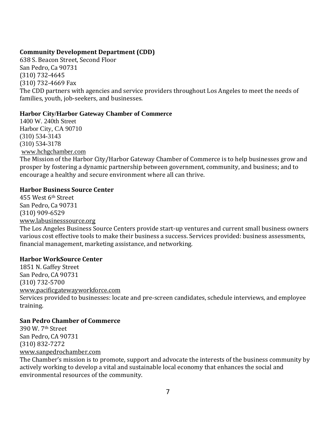# **Community Development Department (CDD)**

638 S. Beacon Street, Second Floor San Pedro, Ca 90731 (310) 732‐4645 (310) 732‐4669 Fax The CDD partners with agencies and service providers throughout Los Angeles to meet the needs of families, youth, job-seekers, and businesses.

# **Harbor City/Harbor Gateway Chamber of Commerce**

1400 W. 240th Street Harbor City, CA 90710 (310) 534-3143 (310) 534-3178 [www.hchgchamber.com](http://www.hchgchamber.com/)

The Mission of the Harbor City/Harbor Gateway Chamber of Commerce is to help businesses grow and prosper by fostering a dynamic partnership between government, community, and business; and to encourage a healthy and secure environment where all can thrive.

# **Harbor Business Source Center**

455 West 6th Street San Pedro, Ca 90731 (310) 909‐6529 [www.labusinesssource.org](http://www.labusinesssource.org/)

The Los Angeles Business Source Centers provide start‐up ventures and current small business owners various cost effective tools to make their business a success. Services provided: business assessments, financial management, marketing assistance, and networking.

# **Harbor WorkSource Center**

1851 N. Gaffey Street San Pedro, CA 90731 (310) 732‐5700 www.pacificgatewayworkforce.com [Services provided to businesses: loca](http://www.pacificgatewayworkforce.com/)te and pre‐screen candidates, schedule interviews, and employee training.

# **San Pedro Chamber of Commerce**

390 W. 7th Street San Pedro, CA 90731 (310) 832‐7272 [www.sanpedrochamber.com](http://www.sanpedrochamber.com/) 

The Chamber's mission is to promote, support and advocate the interests of the business community by actively working to develop a vital and sustainable local economy that enhances the social and environmental resources of the community.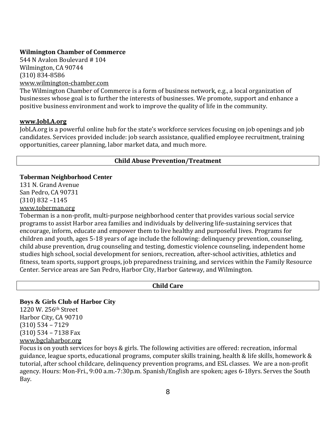#### **Wilmington Chamber of Commerce**

544 N Avalon Boulevard # 104 Wilmington, CA 90744 (310) 834‐8586 [www.wilmington‐chamber.com](http://www.wilmington-chamber.com/)

The Wilmington Chamber of Commerce is a form of [business network,](http://en.wikipedia.org/wiki/Business_network) e.g., a local organization of businesses whose goal is to further the interests of businesses. We promote, support and enhance a positive business environment and work to improve the quality of life in the community.

#### **[www.JobLA.org](http://www.jobla.org/)**

JobLA.org is a powerful online hub for the state's workforce services focusing on job openings and job candidates. Services provided include: job search assistance, qualified employee recruitment, training opportunities, career planning, labor market data, and much more.

#### **Child Abuse Prevention/Treatment**

#### **Toberman Neighborhood Center**

131 N. Grand Avenue San Pedro, CA 90731 (310) 832 –1145

[www.toberman.org](http://www.toberman.org/)

Toberman is a non‐profit, multi‐purpose neighborhood center that provides various social service programs to assist Harbor area families and individuals by delivering life‐sustaining services that encourage, inform, educate and empower them to live healthy and purposeful lives. Programs for children and youth, ages 5‐18 years of age include the following: delinquency prevention, counseling, child abuse prevention, drug counseling and testing, domestic violence counseling, independent home studies high school, social development for seniors, recreation, after‐school activities, athletics and fitness, team sports, support groups, job preparedness training, and services within the Family Resource Center. Service areas are San Pedro, Harbor City, Harbor Gateway, and Wilmington.

#### **Child Care**

#### **Boys & Girls Club of Harbor City**

1220 W. 256th Street Harbor City, CA 90710 (310) 534 – 7129 (310) 534 – 7138 Fax [www.bgclaharbor.org](http://www.bgclaharbor.org/)

Focus is on youth services for boys & girls. The following activities are offered: recreation, informal guidance, league sports, educational programs, computer skills training, health & life skills, homework & tutorial, after school childcare, delinquency prevention programs, and ESL classes. We are a non‐profit agency. Hours: Mon‐Fri., 9:00 a.m.‐7:30p.m. Spanish/English are spoken; ages 6‐18yrs. Serves the South Bay.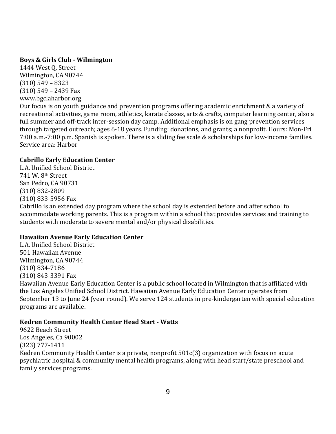# **Boys & Girls Club Wilmington**

1444 West Q. Street Wilmington, CA 90744 (310) 549 – 8323 [\(310\) 549 – 2439 Fax](http://www.bgclaharbor.org/)  www.bgclaharbor.org

Our focus is on youth guidance and prevention programs offering academic enrichment & a variety of recreational activities, game room, athletics, karate classes, arts & crafts, computer learning center, also a full summer and off-track inter-session day camp. Additional emphasis is on gang prevention services through targeted outreach; ages 6‐18 years. Funding: donations, and grants; a nonprofit. Hours: Mon‐Fri 7:00 a.m.‐7:00 p.m. Spanish is spoken. There is a sliding fee scale & scholarships for low‐income families. Service area: Harbor

# **Cabrillo Early Education Center**

L.A. Unified School District 741 W. 8th Street San Pedro, CA 90731 (310) 832‐2809 (310) 833‐5956 Fax Cabrillo is an extended day program where the school day is extended before and after school to accommodate working parents. This is a program within a school that provides services and training to students with moderate to severe mental and/or physical disabilities.

# **Hawaiian Avenue Early Education Center**

L.A. Unified School District 501 Hawaiian Avenue Wilmington, CA 90744 (310) 834‐7186 (310) 843‐3391 Fax Hawaiian Avenue Early Education Center is a public school located in Wilmington that is affiliated with the Los Angeles Unified School District. Hawaiian Avenue Early Education Center operates from September 13 to June 24 (year round). We serve 124 students in pre-kindergarten with special education programs are available.

# **Kedren Community Health Center Head Start Watts**

9622 Beach Street Los Angeles, Ca 90002 (323) 777‐1411 Kedren Community Health Center is a private, nonprofit 501c(3) organization with focus on acute psychiatric hospital & community mental health programs, along with head start/state preschool and family services programs.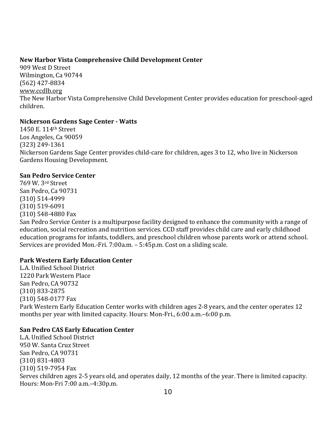# **New Harbor Vista Comprehensive Child Development Center**

909 West D Street Wilmington, Ca 90744 [\(562\) 427‐8834](http://www.ccdlb.org/) www.ccdlb.org The New Harbor Vista Comprehensive Child Development Center provides education for preschool‐aged children.

# **Nickerson Gardens Sage Center Watts**

1450 E. 114th Street Los Angeles, Ca 90059 (323) 249‐1361 Nickerson Gardens Sage Center provides child‐care for children, ages 3 to 12, who live in Nickerson Gardens Housing Development.

# **San Pedro Service Center**

769 W. 3rd Street San Pedro, Ca 90731 (310) 514‐4999 (310) 519‐6091 (310) 548‐4880 Fax San Pedro Service Center is a multipurpose facility designed to enhance the community with a range of education, social recreation and nutrition services. CCD staff provides child care and early childhood education programs for infants, toddlers, and preschool children whose parents work or attend school. Services are provided Mon.‐Fri. 7:00a.m. – 5:45p.m. Cost on a sliding scale.

# **Park Western Early Education Center**

L.A. Unified School District 1220 Park Western Place San Pedro, CA 90732 (310) 833‐2875 (310) 548‐0177 Fax Park Western Early Education Center works with children ages 2‐8 years, and the center operates 12 months per year with limited capacity. Hours: Mon‐Fri., 6:00 a.m.–6:00 p.m.

# **San Pedro CAS Early Education Center**

L.A. Unified School District 950 W. Santa Cruz Street San Pedro, CA 90731 (310) 831‐4803 (310) 519‐7954 Fax Serves children ages 2‐5 years old, and operates daily, 12 months of the year. There is limited capacity. Hours: Mon‐Fri 7:00 a.m.–4:30p.m.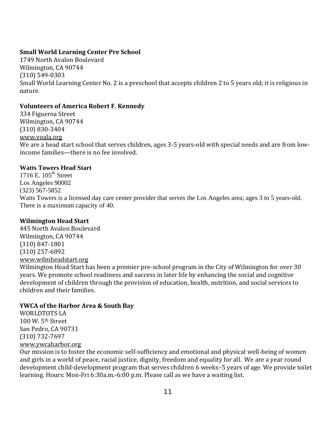# **Small World Learning Center Pre School**

1749 North Avalon Boulevard Wilmington, CA 90744 (310) 549‐0303 Small World Learning Center No. 2 is a preschool that accepts children 2 to 5 years old; it is religious in nature.

#### **Volunteers of America Robert F. Kennedy**

334 Figueroa Street Wilmington, CA 90744 (310) 830‐3404 www.voala.org [We are a head s](http://www.voala.org/)tart school that serves children, ages 3-5 years-old with special needs and are from lowincome families—there is no fee involved.

#### **Watts Towers Head Start**

1716 E.  $105<sup>th</sup>$  Street Los Angeles 90002 (323) 567-5852 Watts Towers is a licensed day care center provider that serves the Los Angeles area; ages 3 to 5 years-old. There is a maximum capacity of 40.

#### **Wilmington Head Start**

445 North Avalon Boulevard Wilmington, CA 90744 (310) 847‐1801 (310) 257‐6892 www.wilmheadstart.org

[Wilmington Head Start h](http://www.wilmheadstart.org/)as been a premier pre-school program in the City of Wilmington for over 30 years. We promote school readiness and success in later life by enhancing the social and cognitive development of children through the provision of education, health, nutrition, and social services to children and their families.

# **YWCA of the Harbor Area & South Bay**

WORLDTOTS LA 100 W. 5th Street San Pedro, CA 90731 (310) 732‐7697 [www.ywcaharbor.org](http://www.ywcaharbor.org/) 

Our mission is to foster the economic self‐sufficiency and emotional and physical well‐being of women and girls in a world of peace, racial justice, dignity, freedom and equality for all. We are a year round development child‐development program that serves children 6 weeks–5 years of age. We provide toilet learning. Hours: Mon‐Fri 6:30a.m.‐6:00 p.m. Please call as we have a waiting list.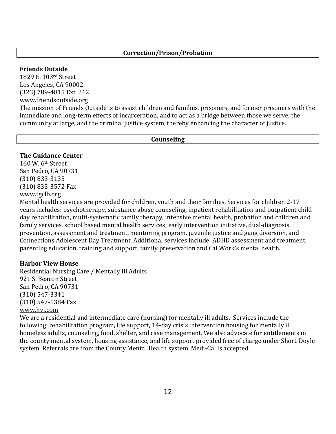#### **Friends Outside**

1829 E. 103rd Street Los Angeles, CA 90002 (323) 789‐4815 Ext. 212 [www.friendsoutside.org](http://www.friendsoutside.org/)

The mission of Friends Outside is to assist children and families, prisoners, and former prisoners with the immediate and long-term effects of incarceration, and to act as a bridge between those we serve, the community at large, and the criminal justice system, thereby enhancing the character of justice.

#### **Counseling**

#### **The Guidance Center**

160 W. 6th Street San Pedro, CA 90731 (310) 833‐3135 [\(310\) 833‐357](http://www.tgclb.org/)2 Fax www.tgclb.org

Mental health services are provided for children, youth and their families. Services for children 2‐17 years includes: psychotherapy, substance abuse counseling, inpatient rehabilitation and outpatient child day rehabilitation, multi‐systematic family therapy, intensive mental health, probation and children and family services, school based mental health services; early intervention initiative, dual-diagnosis prevention, assessment and treatment, mentoring program, juvenile justice and gang diversion, and Connections Adolescent Day Treatment. Additional services include: ADHD assessment and treatment, parenting education, training and support, family preservation and Cal Work's mental health.

#### **Harbor View House**

Residential Nursing Care / Mentally Ill Adults 921 S. Beacon Street San Pedro, CA 90731 (310) 547‐3341 (310) 547‐1384 Fax [www.hvi.com](http://www.hvi.com/)

We are a residential and intermediate care (nursing) for mentally ill adults. Services include the following: rehabilitation program, life support, 14‐day crisis intervention housing for mentally ill homeless adults, counseling, food, shelter, and case management. We also advocate for entitlements in the county mental system, housing assistance, and life support provided free of charge under Short‐Doyle system. Referrals are from the County Mental Health system. Medi‐Cal is accepted.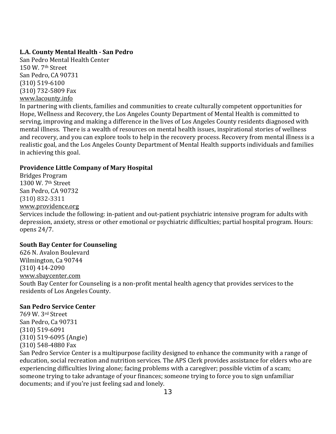# **L.A. County Mental Health San Pedro**

San Pedro Mental Health Center 150 W. 7th Street San Pedro, CA 90731 (310) 519‐6100 [\(310\) 732‐5809 Fa](http://www.lacounty.info/)x www.lacounty.info

In partnering with clients, families and communities to create culturally competent opportunities for Hope, Wellness and Recovery, the Los Angeles County Department of Mental Health is committed to serving, improving and making a difference in the lives of Los Angeles County residents diagnosed with mental illness. There is a wealth of resources on mental health issues, inspirational stories of wellness and recovery, and you can explore tools to help in the recovery process. Recovery from mental illness is a realistic goal, and the Los Angeles County Department of Mental Health supports individuals and families in achieving this goal.

# **Providence Little Company of Mary Hospital**

Bridges Program 1300 W. 7th Street San Pedro, CA 90732 (310) 832‐3311 [www.providence.org](http://www.providence.org/) 

Services include the following: in‐patient and out‐patient psychiatric intensive program for adults with depression, anxiety, stress or other emotional or psychiatric difficulties; partial hospital program. Hours: opens 24/7.

# **South Bay Center for Counseling**

626 N. Avalon Boulevard Wilmington, Ca 90744 (310) 414‐2090 [www.sbaycenter.com](http://www.sbaycenter.com/)  South Bay Center for Counseling is a non‐profit mental health agency that provides services to the residents of Los Angeles County.

# **San Pedro Service Center**

769 W. 3rd Street San Pedro, Ca 90731 (310) 519‐6091 (310) 519‐6095 (Angie) (310) 548‐4880 Fax

San Pedro Service Center is a multipurpose facility designed to enhance the community with a range of education, social recreation and nutrition services. The APS Clerk provides assistance for elders who are experiencing difficulties living alone; facing problems with a caregiver; possible victim of a scam; someone trying to take advantage of your finances; someone trying to force you to sign unfamiliar documents; and if you're just feeling sad and lonely.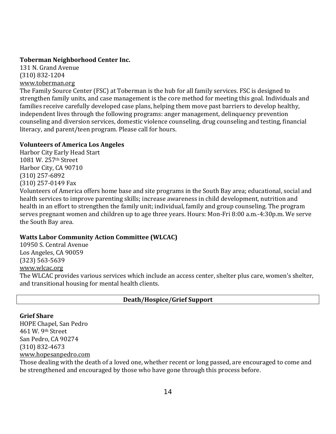# **Toberman Neighborhood Center Inc.**

131 N. Grand Avenue (310) 832‐1204 [www.toberman.org](http://www.toberman.org/)

The Family Source Center (FSC) at Toberman is the hub for all family services. FSC is designed to strengthen family units, and case management is the core method for meeting this goal. Individuals and families receive carefully developed case plans, helping them move past barriers to develop healthy, independent lives through the following programs: anger management, delinquency prevention counseling and diversion services, domestic violence counseling, drug counseling and testing, financial literacy, and parent/teen program. Please call for hours.

# **Volunteers of America Los Angeles**

Harbor City Early Head Start 1081 W. 257th Street Harbor City, CA 90710 (310) 257‐6892 (310) 257‐0149 Fax

Volunteers of America offers home base and site programs in the South Bay area; educational, social and health services to improve parenting skills; increase awareness in child development, nutrition and health in an effort to strengthen the family unit; individual, family and group counseling. The program serves pregnant women and children up to age three years. Hours: Mon‐Fri 8:00 a.m.‐4:30p.m. We serve the South Bay area.

# **Watts Labor Community Action Committee (WLCAC)**

10950 S. Central Avenue Los Angeles, CA 90059 (323) 563‐5639 www.wlcac.org [The WLCAC pro](http://www.wlcac.org/)vides various services which include an access center, shelter plus care, women's shelter, and transitional housing for mental health clients.

# **Death/Hospice/Grief Support**

# **Grief Share**

HOPE Chapel, San Pedro 461 W. 9th Street San Pedro, CA 90274 (310) 832‐4673 www.hopesanpedro.com

[Those dealing with the de](http://www.hopesanpedro.com/)ath of a loved one, whether recent or long passed, are encouraged to come and be strengthened and encouraged by those who have gone through this process before.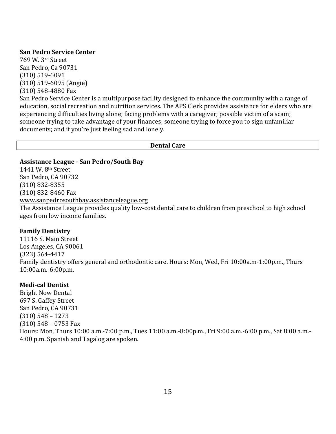#### **San Pedro Service Center**

769 W. 3rd Street San Pedro, Ca 90731 (310) 519‐6091 (310) 519‐6095 (Angie) (310) 548‐4880 Fax San Pedro Service Center is a multipurpose facility designed to enhance the community with a range of education, social recreation and nutrition services. The APS Clerk provides assistance for elders who are experiencing difficulties living alone; facing problems with a caregiver; possible victim of a scam; someone trying to take advantage of your finances; someone trying to force you to sign unfamiliar documents; and if you're just feeling sad and lonely.

#### **Dental Care**

#### **Assistance League San Pedro/South Bay**

1441 W. 8th Street San Pedro, CA 90732 (310) 832‐8355 (310) 832‐8460 Fax [www.sanpedrosouthbay.assistanceleague.org](http://www.sanpedrosouthbay.assistanceleague.org/)  The Assistance League provides quality low‐cost dental care to children from preschool to high school ages from low income families.

# **Family Dentistry**

11116 S. Main Street Los Angeles, CA 90061 (323) 564‐4417 Family dentistry offers general and orthodontic care. Hours: Mon, Wed, Fri 10:00a.m‐1:00p.m., Thurs 10:00a.m.‐6:00p.m.

# **Medical Dentist**

Bright Now Dental 697 S. Gaffey Street San Pedro, CA 90731 (310) 548 – 1273 (310) 548 – 0753 Fax Hours: Mon, Thurs 10:00 a.m.‐7:00 p.m., Tues 11:00 a.m.‐8:00p.m., Fri 9:00 a.m.‐6:00 p.m., Sat 8:00 a.m.‐ 4:00 p.m. Spanish and Tagalog are spoken.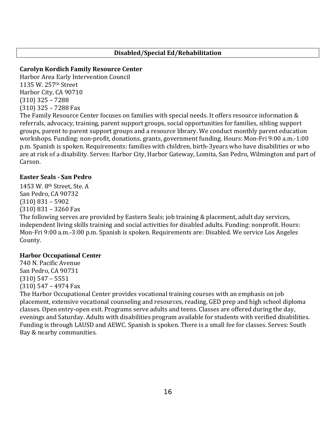# **Disabled/Special Ed/Rehabilitation**

# **Carolyn Kordich Family Resource Center**

Harbor Area Early Intervention Council 1135 W. 257th Street Harbor City, CA 90710 (310) 325 – 7288 (310) 325 – 7288 Fax

The Family Resource Center focuses on families with special needs. It offers resource information & referrals, advocacy, training, parent support groups, social opportunities for families, sibling support groups, parent to parent support groups and a resource library. We conduct monthly parent education workshops. Funding: non‐profit, donations, grants, government funding. Hours: Mon‐Fri 9:00 a.m.‐1:00 p.m. Spanish is spoken. Requirements: families with children, birth‐3years who have disabilities or who are at risk of a disability. Serves: Harbor City, Harbor Gateway, Lomita, San Pedro, Wilmington and part of Carson.

# **Easter Seals San Pedro**

1453 W. 8th Street, Ste. A San Pedro, CA 90732 (310) 831 – 5902 (310) 831 – 3260 Fax

The following serves are provided by Eastern Seals: job training & placement, adult day services, independent living skills training and social activities for disabled adults. Funding: nonprofit. Hours: Mon‐Fri 9:00 a.m.‐3:00 p.m. Spanish is spoken. Requirements are: Disabled. We service Los Angeles County.

# **Harbor Occupational Center**

740 N. Pacific Avenue San Pedro, CA 90731 (310) 547 – 5551 (310) 547 – 4974 Fax

The Harbor Occupational Center provides vocational training courses with an emphasis on job placement, extensive vocational counseling and resources, reading, GED prep and high school diploma classes. Open entry‐open exit. Programs serve adults and teens. Classes are offered during the day, evenings and Saturday. Adults with disabilities program available for students with verified disabilities. Funding is through LAUSD and AEWC. Spanish is spoken. There is a small fee for classes. Serves: South Bay & nearby communities.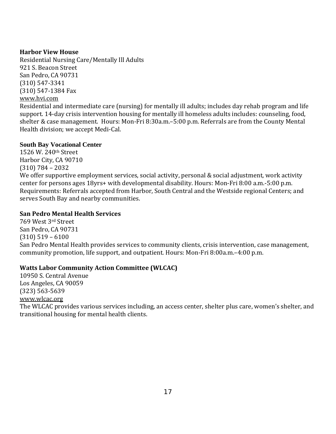# **Harbor View House**

Residential Nursing Care/Mentally Ill Adults 921 S. Beacon Street San Pedro, CA 90731 (310) 547‐3341 [\(310\) 547‐138](http://www.hvi.com/)4 Fax www.hvi.com

Residential and intermediate care (nursing) for mentally ill adults; includes day rehab program and life support. 14‐day crisis intervention housing for mentally ill homeless adults includes: counseling, food, shelter & case management. Hours: Mon‐Fri 8:30a.m.–5:00 p.m. Referrals are from the County Mental Health division; we accept Medi‐Cal.

# **South Bay Vocational Center**

1526 W. 240th Street Harbor City, CA 90710 (310) 784 – 2032 We offer supportive employment services, social activity, personal & social adjustment, work activity center for persons ages 18yrs+ with developmental disability. Hours: Mon‐Fri 8:00 a.m.‐5:00 p.m. Requirements: Referrals accepted from Harbor, South Central and the Westside regional Centers; and serves South Bay and nearby communities.

# **San Pedro Mental Health Services**

769 West 3rd Street San Pedro, CA 90731 (310) 519 – 6100 San Pedro Mental Health provides services to community clients, crisis intervention, case management, community promotion, life support, and outpatient. Hours: Mon‐Fri 8:00a.m.–4:00 p.m.

# **Watts Labor Community Action Committee (WLCAC)**

10950 S. Central Avenue Los Angeles, CA 90059 (323) 563‐5639 [www.wlcac.org](http://www.wlcac.org/) The WLCAC provides various services including, an access center, shelter plus care, women's shelter, and transitional housing for mental health clients.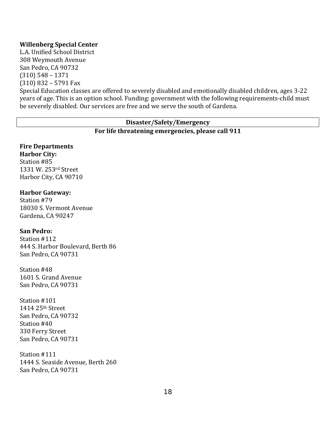#### **Willenberg Special Center**

L.A. Unified School District 308 Weymouth Avenue San Pedro, CA 90732 (310) 548 – 1371 (310) 832 – 5791 Fax

Special Education classes are offered to severely disabled and emotionally disabled children, ages 3‐22 years of age. This is an option school. Funding: government with the following requirements‐child must be severely disabled. Our services are free and we serve the south of Gardena.

# **Disaster/Safety/Emergency**

#### **For life threatening emergencies, please call 911**

# **Fire Departments**

**Harbor City:** Station #85 1331 W. 253rd Street Harbor City, CA 90710

#### **Harbor Gateway:**

Station #79 18030 S. Vermont Avenue Gardena, CA 90247

#### **San Pedro:**

Station #112 444 S. Harbor Boulevard, Berth 86 San Pedro, CA 90731

Station #48 1601 S. Grand Avenue San Pedro, CA 90731

Station #101 1414 25th Street San Pedro, CA 90732 Station #40 330 Ferry Street San Pedro, CA 90731

Station #111 1444 S. Seaside Avenue, Berth 260 San Pedro, CA 90731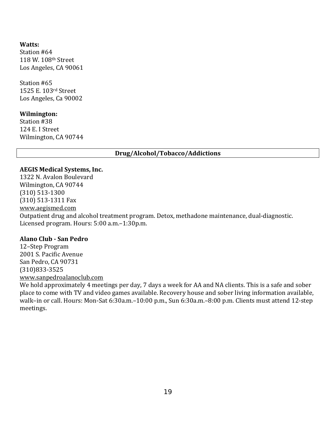#### **Watts:**

Station #64 118 W. 108th Street Los Angeles, CA 90061

Station #65 1525 E. 103rd Street Los Angeles, Ca 90002

#### **Wilmington:**

Station #38 124 E. I Street Wilmington, CA 90744

#### **Drug/Alcohol/Tobacco/Addictions**

#### **AEGIS Medical Systems, Inc.**

1322 N. Avalon Boulevard Wilmington, CA 90744 (310) 513‐1300 (310) 513‐1311 Fax www.aegismed.com Outpatient drug and alcohol treatment program. Detox, methadone maintenance, dual‐diagnostic. Licensed program. Hours: 5:00 a.m.–1:30p.m.

#### **Alano Club San Pedro**

12–Step Program 2001 S. Pacific Avenue San Pedro, CA 90731 (310)833‐3525 www.sanpedroalanoclub.com

We hold approximately 4 meetings per day, 7 days a week for AA and NA clients. This is a safe and sober place to come with TV and video games available. Recovery house and sober living information available, walk–in or call. Hours: Mon‐Sat 6:30a.m.–10:00 p.m., Sun 6:30a.m.–8:00 p.m. Clients must attend 12‐step meetings.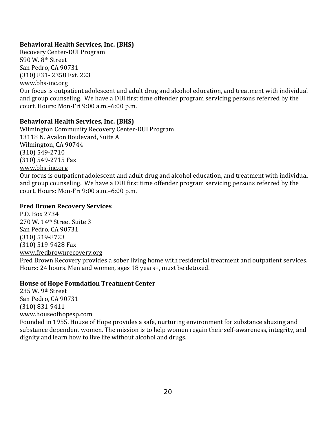# **Behavioral Health Services, Inc. (BHS)**

Recovery Center‐DUI Program 590 W. 8th Street San Pedro, CA 90731 [\(310\) 831‐ 2358 E](http://www.bhs-inc.org/)xt. 223 www.bhs‐inc.org

Our focus is outpatient adolescent and adult drug and alcohol education, and treatment with individual and group counseling. We have a DUI first time offender program servicing persons referred by the court. Hours: Mon‐Fri 9:00 a.m.–6:00 p.m.

# **Behavioral Health Services, Inc. (BHS)**

Wilmington Community Recovery Center‐DUI Program 13118 N. Avalon Boulevard, Suite A Wilmington, CA 90744 (310) 549‐2710 (310) 549‐2715 Fax [www.bhs‐inc.org](http://www.bhs-inc.org/) 

Our focus is outpatient adolescent and adult drug and alcohol education, and treatment with individual and group counseling. We have a DUI first time offender program servicing persons referred by the court. Hours: Mon‐Fri 9:00 a.m.–6:00 p.m.

# **Fred Brown Recovery Services**

P.O. Box 2734 270 W. 14th Street Suite 3 San Pedro, CA 90731 (310) 519‐8723 (310) 519‐9428 Fax [www.fredbrownrecovery.org](http://www.fredbrownrecovery.org/)  Fred Brown Recovery provides a sober living home with residential treatment and outpatient services. Hours: 24 hours. Men and women, ages 18 years+, must be detoxed.

# **House of Hope Foundation Treatment Center**

235 W. 9th Street San Pedro, CA 90731 (310) 831‐9411 [www.houseofhopesp.com](http://www.houseofhopesp.com/)

Founded in 1955, House of Hope provides a safe, nurturing environment for substance abusing and substance dependent women. The mission is to help women regain their self-awareness, integrity, and dignity and learn how to live life without alcohol and drugs.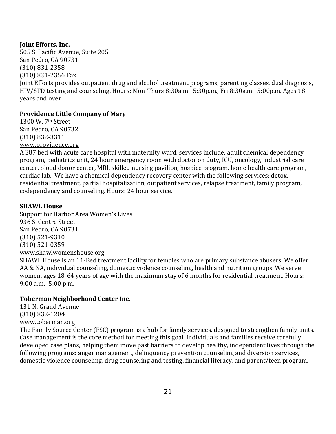#### **Joint Efforts, Inc.**

505 S. Pacific Avenue, Suite 205 San Pedro, CA 90731 (310) 831‐2358 (310) 831‐2356 Fax Joint Efforts provides outpatient drug and alcohol treatment programs, parenting classes, dual diagnosis, HIV/STD testing and counseling. Hours: Mon‐Thurs 8:30a.m.–5:30p.m., Fri 8:30a.m.–5:00p.m. Ages 18 years and over.

# **Providence Little Company of Mary**

1300 W. 7th Street San Pedro, CA 90732 (310) 832‐3311 [www.providence.org](http://www.providence.org/) 

A 387 bed with acute care hospital with maternity ward, services include: adult chemical dependency program, pediatrics unit, 24 hour emergency room with doctor on duty, ICU, oncology, industrial care center, blood donor center, MRI, skilled nursing pavilion, hospice program, home health care program, cardiac lab. We have a chemical dependency recovery center with the following services: detox, residential treatment, partial hospitalization, outpatient services, relapse treatment, family program, codependency and counseling. Hours: 24 hour service.

#### **SHAWL House**

Support for Harbor Area Women's Lives 936 S. Centre Street San Pedro, CA 90731 (310) 521‐9310 (310) 521‐0359 [www.shawlwomenshouse.org](http://www.shawlwomenshouse.org/) SHAWL House is an 11‐Bed treatment facility for females who are primary substance abusers. We offer: AA & NA, individual counseling, domestic violence counseling, health and nutrition groups. We serve

women, ages 18‐64 years of age with the maximum stay of 6 months for residential treatment. Hours: 9:00 a.m.–5:00 p.m.

# **Toberman Neighborhood Center Inc.**

131 N. Grand Avenue (310) 832‐1204 [www.toberman.org](http://www.toberman.org/)

The Family Source Center (FSC) program is a hub for family services, designed to strengthen family units. Case management is the core method for meeting this goal. Individuals and families receive carefully developed case plans, helping them move past barriers to develop healthy, independent lives through the following programs: anger management, delinquency prevention counseling and diversion services, domestic violence counseling, drug counseling and testing, financial literacy, and parent/teen program.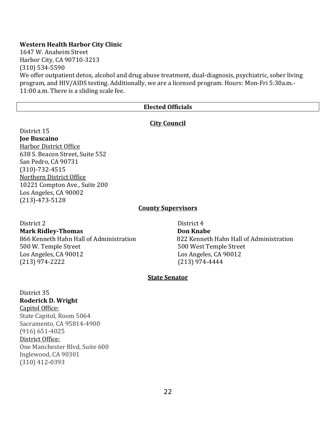#### **Western Health Harbor City Clinic**

1647 W. Anaheim Street Harbor City, CA 90710‐3213 (310) 534‐5590 We offer outpatient detox, alcohol and drug abuse treatment, dual-diagnosis, psychiatric, sober living program, and HIV/AIDS testing. Additionally, we are a licensed program. Hours: Mon‐Fri 5:30a.m.‐ 11:00 a.m. There is a sliding scale fee.

#### **Elected Officials**

#### **City Council**

District 15 **Joe Buscaino** Harbor District Office 638 S. Beacon Street, Suite 552 San Pedro, CA 90731 (310)‐732‐4515 Northern District Office 10221 Compton Ave., Suite 200 Los Angeles, CA 90002 (213)‐473‐5128

#### **County Supervisors**

District 2 District 4 **Mark RidleyThomas Don Knabe** 500 W. Temple Street 500 West Temple Street Los Angeles, CA 90012 Los Angeles, CA 90012  $(213)$  974-2222  $(213)$ 

866 Kenneth Hahn Hall of Administration 822 Kenneth Hahn Hall of Administration

#### **State Senator**

District 35 **Roderick D. Wright**  Capitol Office: State Capitol, Room 5064 Sacramento, CA 95814‐4900 (916) 651‐4025 District Office: One Manchester Blvd, Suite 600 Inglewood, CA 90301 (310) 412‐0393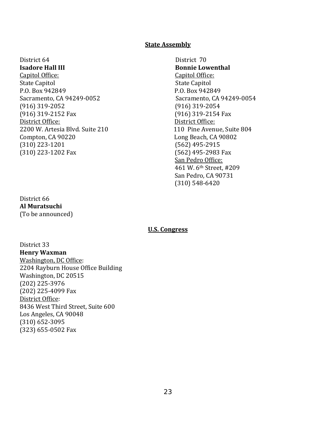# **State Assembly**

District 64 District 70 **Isadore Hall III Bonnie Lowenthal** Capitol Office: **Capitol Office: Capitol Office: Capitol Office: Capitol Office: Capitol Office: Capitol Office: Capitol Office: Capitol Office: Capitol Office: Capitol Office: Capitol Office: Capito** State Capitol **State Capitol** P.O. Box 942849 P.O. Box 942849 Sacramento, CA 94249‐0052 Sacramento, CA 94249‐0054 (916) 319‐2052 (916) 319‐2054 (916) 319‐2152 Fax (916) 319‐2154 Fax District Office: **District Office:** 2200 W. Artesia Blvd. Suite 210 110 Pine Avenue, Suite 804 Compton, CA 90220 Long Beach, CA 90802 (310) 223‐1201 (562) 495‐2915 (310) 223‐1202 Fax (562) 495‐2983 Fax

#### District 66 **Al Muratsuchi** (To be announced)

 San Pedro Office: 461 W. 6th Street, #209 San Pedro, CA 90731 (310) 548‐6420

#### **U.S. Congress**

District 33 **Henry Waxman**  [Washington, DC Office:](https://waxman.house.gov/office/washington-dc) 2204 Rayburn House Office Building Washington, DC 20515 (202) 225‐3976 (202) 225‐4099 Fax [District Office](https://waxman.house.gov/office/los-angeles): 8436 West Third Street, Suite 600 Los Angeles, CA 90048 (310) 652‐3095 (323) 655‐0502 Fax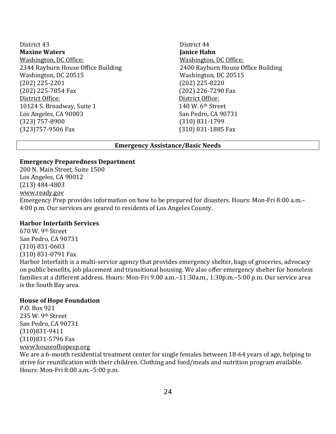District 43 District 44 **Maxine Waters Janice Hahn** Washington, DC Office: **Washington, DC Office:** 2344 Rayburn House Office Building 2400 Rayburn House Office Building Washington, DC 20515 Washington, DC 20515 (202) 225‐2201 (202) 225‐8220 (202) 225‐7854 Fax (202) 226‐7290 Fax District Office: District Office: 10124 S. Broadway, Suite 1 140 W. 6<sup>th</sup> Street Los Angeles, CA 90003 San Pedro, CA 90731 (323) 757‐8900 (310) 831‐1799 (323)757‐9506 Fax (310) 831‐1885 Fax

#### **Emergency Assistance/Basic Needs**

#### **Emergency Preparedness Department**

200 N. Main Street, Suite 1500 Los Angeles, CA 90012 (213) 484‐4803 [www.ready.gov](http://www.ready.gov/) 

Emergency Prep provides information on how to be prepared for disasters. Hours: Mon‐Fri 8:00 a.m.– 4:00 p.m. Our services are geared to residents of Los Angeles County.

#### **Harbor Interfaith Services**

670 W. 9th Street San Pedro, CA 90731 (310) 831‐0603 (310) 831‐0791 Fax Harbor Interfaith is a multi-service agency that provides emergency shelter, bags of groceries, advocacy on public benefits, job placement and transitional housing. We also offer emergency shelter for homeless families at a different address. Hours: Mon‐Fri 9:00 a.m.–11:30a.m., 1:30p.m.–5:00 p.m. Our service area is the South Bay area.

#### **House of Hope Foundation**

P.O. Box 921 235 W. 9th Street San Pedro, CA 90731 (310)831‐9411 (310)831‐5796 Fax [www.houseofhopesp.org](http://www.houseofhopesp.org/)

We are a 6‐month residential treatment center for single females between 18‐64 years of age, helping to strive for reunification with their children. Clothing and food/meals and nutrition program available. Hours: Mon‐Fri 8:00 a.m.–5:00 p.m.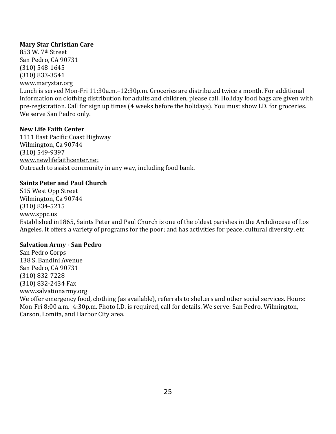#### **Mary Star Christian Care**

853 W. 7th Street San Pedro, CA 90731 (310) 548‐1645 (310) 833‐3541 [www.marystar.org](http://www.marystar.org/) Lunch is served Mon‐Fri 11:30a.m.–12:30p.m. Groceries are distributed twice a month. For additional information on clothing distribution for adults and children, please call. Holiday food bags are given with pre‐registration. Call for sign up times (4 weeks before the holidays). You must show I.D. for groceries. We serve San Pedro only.

#### **New Life Faith Center**

1111 East Pacific Coast Highway Wilmington, Ca 90744 (310) 549‐9397 [www.newlifefaithcenter.net](http://www.newlifefaithcenter.net/)  Outreach to assist community in any way, including food bank.

#### **Saints Peter and Paul Church**

515 West Opp Street Wilmington, Ca 90744 (310) 834‐5215 www.sppc.us [Established in](http://www.sppc.us/)1865, Saints Peter and Paul Church is one of the oldest parishes in the Archdiocese of Los Angeles. It offers a variety of programs for the poor; and has activities for peace, cultural diversity, etc

#### **Salvation Army San Pedro**

San Pedro Corps 138 S. Bandini Avenue San Pedro, CA 90731 (310) 832‐7228 (310) 832‐2434 Fax [www.salvationarmy.org](http://www.salvationarmy.org/) 

We offer emergency food, clothing (as available), referrals to shelters and other social services. Hours: Mon‐Fri 8:00 a.m.–4:30p.m. Photo I.D. is required, call for details. We serve: San Pedro, Wilmington, Carson, Lomita, and Harbor City area.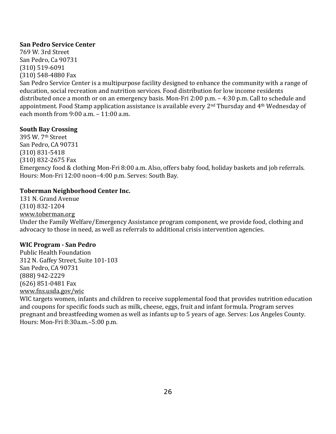#### **San Pedro Service Center**

769 W. 3rd Street San Pedro, Ca 90731 (310) 519‐6091 (310) 548‐4880 Fax

San Pedro Service Center is a multipurpose facility designed to enhance the community with a range of education, social recreation and nutrition services. Food distribution for low income residents distributed once a month or on an emergency basis. Mon‐Fri 2:00 p.m. – 4:30 p.m. Call to schedule and appointment. Food Stamp application assistance is available every 2nd Thursday and 4th Wednesday of each month from 9:00 a.m. – 11:00 a.m.

#### **South Bay Crossing**

395 W. 7th Street San Pedro, CA 90731 (310) 831‐5418 (310) 832‐2675 Fax Emergency food & clothing Mon‐Fri 8:00 a.m. Also, offers baby food, holiday baskets and job referrals. Hours: Mon‐Fri 12:00 noon–4:00 p.m. Serves: South Bay.

# **Toberman Neighborhood Center Inc.**

131 N. Grand Avenue (310) 832‐1204 [www.toberman.org](http://www.toberman.org/)

Under the Family Welfare/Emergency Assistance program component, we provide food, clothing and advocacy to those in need, as well as referrals to additional crisis intervention agencies.

# **WIC Program San Pedro**

Public Health Foundation 312 N. Gaffey Street, Suite 101‐103 San Pedro, CA 90731 (888) 942‐2229 (626) 851‐0481 Fax www.fns.usda.gov/wic

WIC targets women, infants and children to receive supplemental food that provides nutrition education and coupons for specific foods such as milk, cheese, eggs, fruit and infant formula. Program serves pregnant and breastfeeding women as well as infants up to 5 years of age. Serves: Los Angeles County. Hours: Mon‐Fri 8:30a.m.–5:00 p.m.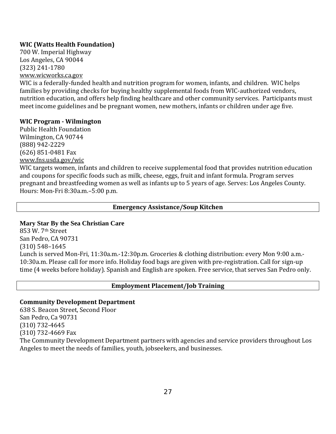# **WIC (Watts Health Foundation)**

700 W. Imperial Highway Los Angeles, CA 90044 (323) 241‐1780 [www.wicworks.ca.gov](http://www.wicworks.ca.gov/) 

WIC is a federally-funded health and nutrition program for women, infants, and children. WIC helps families by providing checks for buying healthy supplemental foods from WIC‐authorized vendors, nutrition education, and offers help finding healthcare and other community services. Participants must meet income guidelines and be pregnant women, new mothers, infants or children under age five.

#### **WIC Program Wilmington**

Public Health Foundation Wilmington, CA 90744 (888) 942‐2229 (626) 851‐0481 Fax www.fns.usda.gov/wic

WIC targets women, infants and children to receive supplemental food that provides nutrition education and coupons for specific foods such as milk, cheese, eggs, fruit and infant formula. Program serves pregnant and breastfeeding women as well as infants up to 5 years of age. Serves: Los Angeles County. Hours: Mon‐Fri 8:30a.m.–5:00 p.m.

#### **Emergency Assistance/Soup Kitchen**

#### **Mary Star By the Sea Christian Care**

853 W. 7th Street San Pedro, CA 90731 (310) 548–1645 Lunch is served Mon‐Fri, 11:30a.m.‐12:30p.m. Groceries & clothing distribution: every Mon 9:00 a.m.‐ 10:30a.m. Please call for more info. Holiday food bags are given with pre‐registration. Call for sign‐up time (4 weeks before holiday). Spanish and English are spoken. Free service, that serves San Pedro only.

#### **Employment Placement/Job Training**

#### **Community Development Department**

638 S. Beacon Street, Second Floor San Pedro, Ca 90731 (310) 732‐4645 (310) 732‐4669 Fax The Community Development Department partners with agencies and service providers throughout Los Angeles to meet the needs of families, youth, jobseekers, and businesses.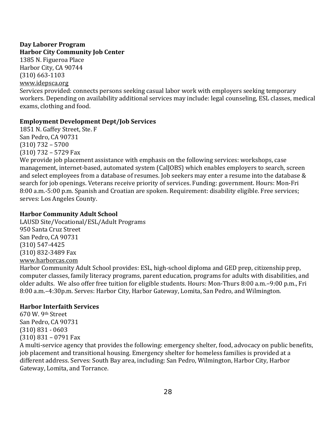#### **Day Laborer Program Harbor City Community Job Center**

1385 N. Figueroa Place Harbor City, CA 90744 (310) 663‐1103 [www.idepsca.org](http://www.idepsca.org/)  Services provided: connects persons seeking casual labor work with employers seeking temporary workers. Depending on availability additional services may include: legal counseling, ESL classes, medical exams, clothing and food.

# **Employment Development Dept/Job Services**

1851 N. Gaffey Street, Ste. F San Pedro, CA 90731 (310) 732 – 5700 (310) 732 – 5729 Fax

We provide job placement assistance with emphasis on the following services: workshops, case management, internet‐based, automated system (CalJOBS) which enables employers to search, screen and select employees from a database of resumes. Job seekers may enter a resume into the database & search for job openings. Veterans receive priority of services. Funding: government. Hours: Mon‐Fri 8:00 a.m.‐5:00 p.m. Spanish and Croatian are spoken. Requirement: disability eligible. Free services; serves: Los Angeles County.

# **Harbor Community Adult School**

LAUSD Site/Vocational/ESL/Adult Programs 950 Santa Cruz Street San Pedro, CA 90731 (310) 547‐4425 (310) 832‐3489 Fax [www.harborcas.com](http://www.harborcas.com/)

Harbor Community Adult School provides: ESL, high‐school diploma and GED prep, citizenship prep, computer classes, family literacy programs, parent education, programs for adults with disabilities, and older adults. We also offer free tuition for eligible students. Hours: Mon‐Thurs 8:00 a.m.–9:00 p.m., Fri 8:00 a.m.–4:30p.m. Serves: Harbor City, Harbor Gateway, Lomita, San Pedro, and Wilmington.

# **Harbor Interfaith Services**

670 W. 9th Street San Pedro, CA 90731 (310) 831 ‐ 0603 (310) 831 – 0791 Fax

A multi‐service agency that provides the following: emergency shelter, food, advocacy on public benefits, job placement and transitional housing. Emergency shelter for homeless families is provided at a different address. Serves: South Bay area, including: San Pedro, Wilmington, Harbor City, Harbor Gateway, Lomita, and Torrance.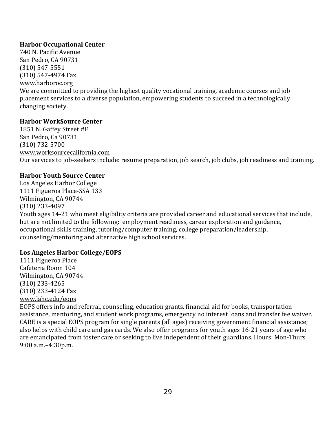# **Harbor Occupational Center**

740 N. Pacific Avenue San Pedro, CA 90731 (310) 547‐5551 (310) 547‐4974 Fax [www.harboroc.org](http://www.harboroc.org/) We are committed to providing the highest quality vocational training, academic courses and job placement services to a diverse population, empowering students to succeed in a technologically changing society.

# **Harbor WorkSource Center**

1851 N. Gaffey Street #F San Pedro, Ca 90731 (310) 732‐5700 [www.worksourcecalifornia.com](http://www.worksourcecalifornia.com/) Our services to job‐seekers include: resume preparation, job search, job clubs, job readiness and training.

# **Harbor Youth Source Center**

Los Angeles Harbor College 1111 Figueroa Place‐SSA 133 Wilmington, CA 90744 (310) 233‐4097 Youth ages 14‐21 who meet eligibility criteria are provided career and educational services that include, but are not limited to the following: employment readiness, career exploration and guidance, occupational skills training, tutoring/computer training, college preparation/leadership, counseling/mentoring and alternative high school services.

# **Los Angeles Harbor College/EOPS**

1111 Figueroa Place Cafeteria Room 104 Wilmington, CA 90744 (310) 233‐4265 (310) 233‐4124 Fax [www.lahc.edu/eops](http://www.lahc.edu/eops) 

EOPS offers info and referral, counseling, education grants, financial aid for books, transportation assistance, mentoring, and student work programs, emergency no interest loans and transfer fee waiver. CARE is a special EOPS program for single parents (all ages) receiving government financial assistance; also helps with child care and gas cards. We also offer programs for youth ages 16‐21 years of age who are emancipated from foster care or seeking to live independent of their guardians. Hours: Mon‐Thurs 9:00 a.m.–4:30p.m.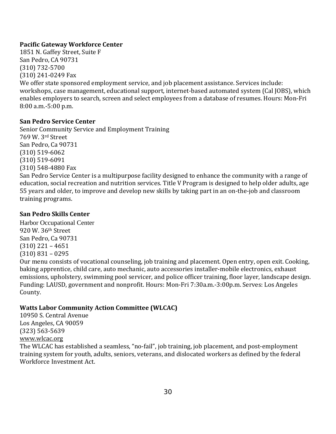# **Pacific Gateway Workforce Center**

1851 N. Gaffey Street, Suite F San Pedro, CA 90731 (310) 732‐5700 (310) 241‐0249 Fax We offer state sponsored employment service, and job placement assistance. Services include: workshops, case management, educational support, internet‐based automated system (Cal JOBS), which enables employers to search, screen and select employees from a database of resumes. Hours: Mon‐Fri 8:00 a.m.‐5:00 p.m.

# **San Pedro Service Center**

Senior Community Service and Employment Training 769 W. 3rd Street San Pedro, Ca 90731 (310) 519‐6062 (310) 519‐6091 (310) 548‐4880 Fax San Pedro Service Center is a multipurpose facility designed to enhance the community with a range of education, social recreation and nutrition services. Title V Program is designed to help older adults, age 55 years and older, to improve and develop new skills by taking part in an on‐the‐job and classroom training programs.

# **San Pedro Skills Center**

Harbor Occupational Center 920 W. 36th Street San Pedro, Ca 90731 (310) 221 – 4651 (310) 831 – 0295

Our menu consists of vocational counseling, job training and placement. Open entry, open exit. Cooking, baking apprentice, child care, auto mechanic, auto accessories installer‐mobile electronics, exhaust emissions, upholstery, swimming pool servicer, and police officer training, floor layer, landscape design. Funding: LAUSD, government and nonprofit. Hours: Mon‐Fri 7:30a.m.‐3:00p.m. Serves: Los Angeles County.

# **Watts Labor Community Action Committee (WLCAC)**

10950 S. Central Avenue Los Angeles, CA 90059 [\(323\) 563‐5639](http://www.wlcac.org/) www.wlcac.org

The WLCAC has established a seamless, "no-fail", job training, job placement, and post-employment training system for youth, adults, seniors, veterans, and dislocated workers as defined by the federal Workforce Investment Act.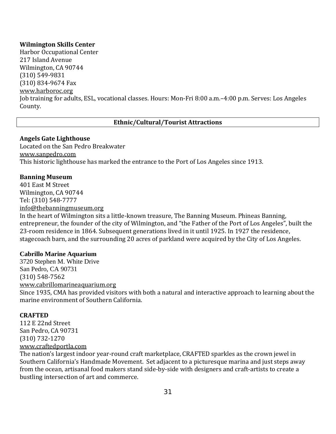# **Wilmington Skills Center**

Harbor Occupational Center 217 Island Avenue Wilmington, CA 90744 (310) 549‐9831 [\(310\) 834‐9674 Fa](http://www.harboroc.org/)x www.harboroc.org Job training for adults, ESL, vocational classes. Hours: Mon‐Fri 8:00 a.m.–4:00 p.m. Serves: Los Angeles County.

#### **Ethnic/Cultural/Tourist Attractions**

#### **Angels Gate Lighthouse**

Located on the San Pedro Breakwater [www.sanpedro.com](http://www.sanpedro.com/)  This historic lighthouse has marked the entrance to the Port of Los Angeles since 1913.

#### **Banning Museum**

401 East M Street Wilmington, CA 90744 Tel: (310) 548‐7777 info@thebanningmuseum.org [In the heart of Wilmington sits](mailto:info@thebanningmuseum.org) a little‐known treasure, The Banning Museum. [Phineas Banning,](http://www.thebanningmuseum.org/phineas-banning/) entrepreneur, the founder of the city of Wilmington, and "the Father of the Port of Los Angeles", built the 23‐room residence in 1864. Subsequent generations lived in it until 1925. In 1927 the residence, stagecoach barn, and the surrounding 20 acres of parkland were acquired by the City of Los Angeles.

#### **Cabrillo Marine Aquarium**

3720 Stephen M. White Drive San Pedro, CA 90731 (310) 548‐7562 [www.cabrillomarineaquarium.org](http://www.cabrillomarineaquarium.org/)  Since 1935, CMA has provided visitors with both a natural and interactive approach to learning about the marine environment of Southern California.

#### **CRAFTED**

112 E 22nd Street San Pedro, CA 90731 (310) 732‐1270 [www.craftedportla.com](http://www.craftedportla.com/) 

The nation's largest indoor year‐round craft marketplace, CRAFTED sparkles as the crown jewel in Southern California's Handmade Movement. Set adjacent to a picturesque marina and just steps away from the ocean, artisanal food makers stand side‐by‐side with designers and craft‐artists to create a bustling intersection of art and commerce.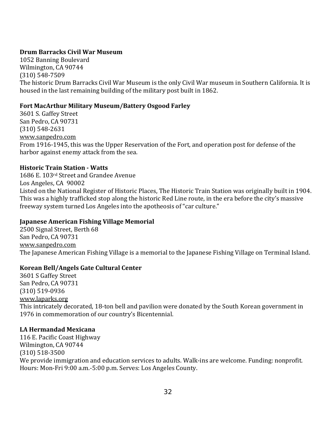# **Drum Barracks Civil War Museum**

1052 Banning Boulevard Wilmington, CA 90744 (310) 548‐7509 The historic Drum Barracks Civil War Museum is the only Civil War museum in Southern California. It is housed in the last remaining building of the military post built in 1862.

# **Fort MacArthur Military Museum/Battery Osgood Farley**

3601 S. Gaffey Street San Pedro, CA 90731 (310) 548‐2631 www.sanpedro.com [From 1916‐1945, th](http://www.sanpedro.com/)is was the Upper Reservation of the Fort, and operation post for defense of the harbor against enemy attack from the sea.

# **Historic Train Station Watts**

1686 E. 103rd Street and Grandee Avenue Los Angeles, CA 90002 Listed on the National Register of Historic Places, The Historic Train Station was originally built in 1904. This was a highly trafficked stop along the historic Red Line route, in the era before the city's massive freeway system turned Los Angeles into the apotheosis of "car culture."

# **Japanese American Fishing Village Memorial**

2500 Signal Street, Berth 68 San Pedro, CA 90731 www.sanpedro.com [The Japanese Americ](http://www.sanpedro.com/)an Fishing Village is a memorial to the Japanese Fishing Village on Terminal Island.

# **Korean Bell/Angels Gate Cultural Center**

3601 S Gaffey Street San Pedro, CA 90731 (310) 519‐0936 [www.laparks.org](http://www.laparks.org/) This intricately decorated, 18‐ton bell and pavilion were donated by the South Korean government in 1976 in commemoration of our country's Bicentennial.

# **LA Hermandad Mexicana**

116 E. Pacific Coast Highway Wilmington, CA 90744 (310) 518‐3500 We provide immigration and education services to adults. Walk-ins are welcome. Funding: nonprofit. Hours: Mon‐Fri 9:00 a.m.‐5:00 p.m. Serves: Los Angeles County.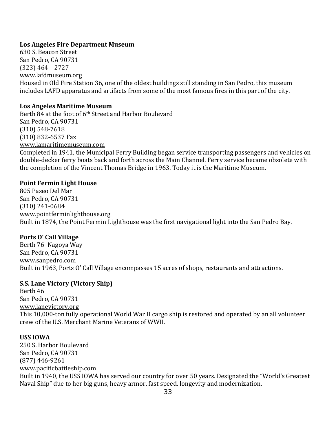## **Los Angeles Fire Department Museum**

630 S. Beacon Street San Pedro, CA 90731 (323) 464 – 2727 [www.lafdmuseum.org](http://www.lafdmuseum.org/)  Housed in Old Fire Station 36, one of the oldest buildings still standing in San Pedro, this museum includes LAFD apparatus and artifacts from some of the most famous fires in this part of the city.

# **Los Angeles Maritime Museum**

Berth 84 at the foot of 6th Street and Harbor Boulevard San Pedro, CA 90731 (310) 548‐7618 (310) 832‐6537 Fax [www.lamaritimemuseum.com](http://www.lamaritimemuseum.com/) Completed in 1941, the Municipal Ferry Building began service transporting passengers and vehicles on double-decker ferry boats back and forth across the Main Channel. Ferry service became obsolete with the completion of the Vincent Thomas Bridge in 1963. Today it is the Maritime Museum.

# **Point Fermin Light House**

805 Paseo Del Mar San Pedro, CA 90731 (310) 241‐0684 [www.pointferminlighthouse.org](http://www.pointferminlighthouse.org/) Built in 1874, the Point Fermin Lighthouse was the first navigational light into the San Pedro Bay.

# **Ports O' Call Village**

Berth 76–Nagoya Way San Pedro, CA 90731 www.sanpedro.com [Built in 1963, Ports O](http://www.sanpedro.com/)' Call Village encompasses 15 acres of shops, restaurants and attractions.

# **S.S. Lane Victory (Victory Ship)**

Berth 46 San Pedro, CA 90731 [www.lanevictory.org](http://www.lanevictory.org/)  This 10,000‐ton fully operational World War II cargo ship is restored and operated by an all volunteer crew of the U.S. Merchant Marine Veterans of WWII.

# **USS IOWA**

250 S. Harbor Boulevard San Pedro, CA 90731 (877) 446‐9261 [www.pacificbattleship.com](http://www.pacificbattleship.com/) Built in 1940, the USS IOWA has served our country for over 50 years. Designated the "World's Greatest Naval Ship" due to her big guns, heavy armor, fast speed, longevity and modernization.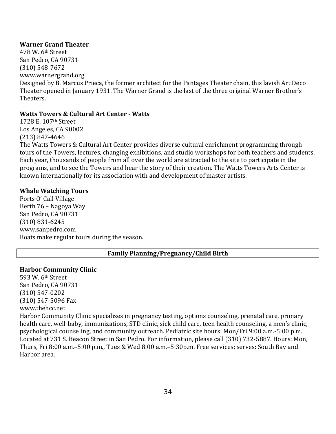## **Warner Grand Theater**

478 W. 6th Street San Pedro, CA 90731 (310) 548‐7672

[www.warnergrand.org](http://www.warnergrand.org/) 

Designed by B. Marcus Prieca, the former architect for the Pantages Theater chain, this lavish Art Deco Theater opened in January 1931. The Warner Grand is the last of the three original Warner Brother's Theaters.

## **Watts Towers & Cultural Art Center Watts**

1728 E. 107th Street Los Angeles, CA 90002 (213) 847‐4646

The Watts Towers & Cultural Art Center provides diverse cultural enrichment programming through tours of the Towers, lectures, changing exhibitions, and studio workshops for both teachers and students. Each year, thousands of people from all over the world are attracted to the site to participate in the programs, and to see the Towers and hear the story of their creation. The Watts Towers Arts Center is known internationally for its association with and development of master artists.

## **Whale Watching Tours**

Ports O' Call Village Berth 76 – Nagoya Way San Pedro, CA 90731 (310) 831‐6245 www.sanpedro.com [Boats make regular t](http://www.sanpedro.com/)ours during the season.

# **Family Planning/Pregnancy/Child Birth**

## **Harbor Community Clinic**

593 W. 6th Street San Pedro, CA 90731 (310) 547‐0202 (310) 547‐5096 Fax [www.thehcc.net](http://www.thehcc.net/)

Harbor Community Clinic specializes in pregnancy testing, options counseling, prenatal care, primary health care, well-baby, immunizations, STD clinic, sick child care, teen health counseling, a men's clinic, psychological counseling, and community outreach. Pediatric site hours: Mon/Fri 9:00 a.m.‐5:00 p.m. Located at 731 S. Beacon Street in San Pedro. For information, please call (310) 732‐5887. Hours: Mon, Thurs, Fri 8:00 a.m.–5:00 p.m., Tues & Wed 8:00 a.m.–5:30p.m. Free services; serves: South Bay and Harbor area.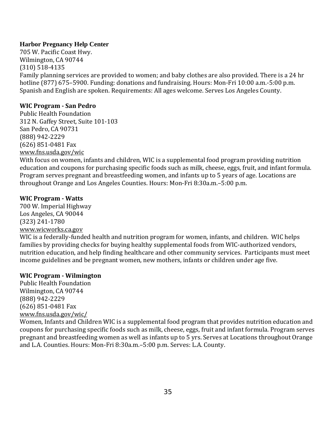# **Harbor Pregnancy Help Center**

705 W. Pacific Coast Hwy. Wilmington, CA 90744 (310) 518‐4135 Family planning services are provided to women; and baby clothes are also provided. There is a 24 hr hotline (877) 675–5900. Funding: donations and fundraising. Hours: Mon-Fri 10:00 a.m.-5:00 p.m. Spanish and English are spoken. Requirements: All ages welcome. Serves Los Angeles County.

# **WIC Program San Pedro**

Public Health Foundation 312 N. Gaffey Street, Suite 101‐103 San Pedro, CA 90731 (888) 942‐2229 (626) 851‐0481 Fax www.fns.usda.gov/wic

With focus on women, infants and children, WIC is a supplemental food program providing nutrition education and coupons for purchasing specific foods such as milk, cheese, eggs, fruit, and infant formula. Program serves pregnant and breastfeeding women, and infants up to 5 years of age. Locations are throughout Orange and Los Angeles Counties. Hours: Mon‐Fri 8:30a.m.–5:00 p.m.

## **WIC Program Watts**

700 W. Imperial Highway Los Angeles, CA 90044 (323) 241‐1780 [www.wicworks.ca.gov](http://www.wicworks.ca.gov/) 

WIC is a federally-funded health and nutrition program for women, infants, and children. WIC helps families by providing checks for buying healthy supplemental foods from WIC‐authorized vendors, nutrition education, and help finding healthcare and other community services. Participants must meet income guidelines and be pregnant women, new mothers, infants or children under age five.

## **WIC Program Wilmington**

Public Health Foundation Wilmington, CA 90744 (888) 942‐2229 (626) 851‐0481 Fax www.fns.usda.gov/wic/

Women, Infants and Children WIC is a supplemental food program that provides nutrition education and coupons for purchasing specific foods such as milk, cheese, eggs, fruit and infant formula. Program serves pregnant and breastfeeding women as well as infants up to 5 yrs. Serves at Locations throughout Orange and L.A. Counties. Hours: Mon‐Fri 8:30a.m.–5:00 p.m. Serves: L.A. County.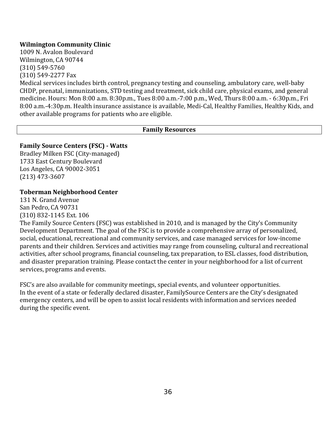# **Wilmington Community Clinic**

1009 N. Avalon Boulevard Wilmington, CA 90744 (310) 549‐5760 (310) 549‐2277 Fax

Medical services includes birth control, pregnancy testing and counseling, ambulatory care, well-baby CHDP, prenatal, immunizations, STD testing and treatment, sick child care, physical exams, and general medicine. Hours: Mon 8:00 a.m. 8:30p.m., Tues 8:00 a.m.‐7:00 p.m., Wed, Thurs 8:00 a.m. ‐ 6:30p.m., Fri 8:00 a.m.‐4:30p.m. Health insurance assistance is available, Medi‐Cal, Healthy Families, Healthy Kids, and other available programs for patients who are eligible.

# **Family Resources**

# **Family Source Centers (FSC) Watts**

Bradley Milken FSC (City‐managed) 1733 East Century Boulevard Los Angeles, CA 90002‐3051 (213) 473‐3607

# **Toberman Neighborhood Center**

131 N. Grand Avenue San Pedro, CA 90731 (310) 832‐1145 Ext. 106

The Family Source Centers (FSC) was established in 2010, and is managed by the City's Community Development Department. The goal of the FSC is to provide a comprehensive array of personalized, social, educational, recreational and community services, and case managed services for low‐income parents and their children. Services and activities may range from counseling, cultural and recreational activities, after school programs, financial counseling, tax preparation, to ESL classes, food distribution, and disaster preparation training. Please contact the center in your neighborhood for a list of current services, programs and events.

FSC's are also available for community meetings, special events, and volunteer opportunities. In the event of a state or federally declared disaster, FamilySource Centers are the City's designated emergency centers, and will be open to assist local residents with information and services needed during the specific event.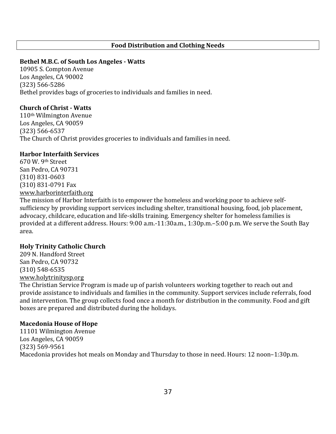## **Food Distribution and Clothing Needs**

### **Bethel M.B.C. of South Los Angeles Watts**

10905 S. Compton Avenue Los Angeles, CA 90002 (323) 566‐5286 Bethel provides bags of groceries to individuals and families in need.

## **Church of Christ Watts**

110th Wilmington Avenue Los Angeles, CA 90059 (323) 566‐6537 The Church of Christ provides groceries to individuals and families in need.

#### **Harbor Interfaith Services**

670 W. 9th Street San Pedro, CA 90731 (310) 831‐0603 (310) 831‐0791 Fax [www.harborinterfaith.org](http://www.harborinterfaith.org/) 

The mission of Harbor Interfaith is to empower the homeless and working poor to achieve self‐ sufficiency by providing support services including shelter, transitional housing, food, job placement, advocacy, childcare, education and life‐skills training. Emergency shelter for homeless families is provided at a different address. Hours: 9:00 a.m.‐11:30a.m., 1:30p.m.–5:00 p.m. We serve the South Bay area.

#### **Holy Trinity Catholic Church**

209 N. Handford Street San Pedro, CA 90732 (310) 548‐6535 www.holytrinitysp.org

[The Christian Service P](http://www.holytrinitysp.org/)rogram is made up of parish volunteers working together to reach out and provide assistance to individuals and families in the community. Support services include referrals, food and intervention. The group collects food once a month for distribution in the community. Food and gift boxes are prepared and distributed during the holidays.

#### **Macedonia House of Hope**

11101 Wilmington Avenue Los Angeles, CA 90059 (323) 569‐9561 Macedonia provides hot meals on Monday and Thursday to those in need. Hours: 12 noon–1:30p.m.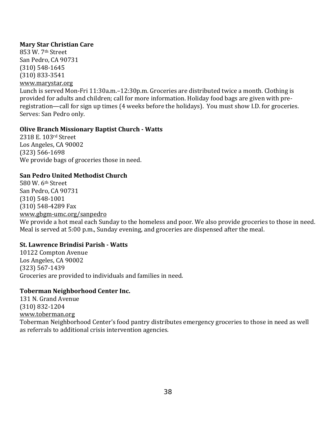# **Mary Star Christian Care**

853 W. 7th Street San Pedro, CA 90731 (310) 548‐1645 (310) 833‐3541 [www.marystar.org](http://www.marystar.org/) Lunch is served Mon‐Fri 11:30a.m.–12:30p.m. Groceries are distributed twice a month. Clothing is provided for adults and children; call for more information. Holiday food bags are given with preregistration—call for sign up times (4 weeks before the holidays). You must show I.D. for groceries. Serves: San Pedro only.

## **Olive Branch Missionary Baptist Church Watts**

2318 E. 103rd Street Los Angeles, CA 90002 (323) 566‐1698 We provide bags of groceries those in need.

## **San Pedro United Methodist Church**

580 W. 6th Street San Pedro, CA 90731 (310) 548‐1001 (310) 548‐4289 Fax www.gbgm‐umc.org/sanpedro

We provide a hot meal each Sunday to the homeless and poor. We also provide groceries to those in need. Meal is served at 5:00 p.m., Sunday evening, and groceries are dispensed after the meal.

# **St. Lawrence Brindisi Parish Watts**

10122 Compton Avenue Los Angeles, CA 90002 (323) 567‐1439 Groceries are provided to individuals and families in need.

## **Toberman Neighborhood Center Inc.**

131 N. Grand Avenue (310) 832‐1204 [www.toberman.org](http://www.toberman.org/) Toberman Neighborhood Center's food pantry distributes emergency groceries to those in need as well as referrals to additional crisis intervention agencies.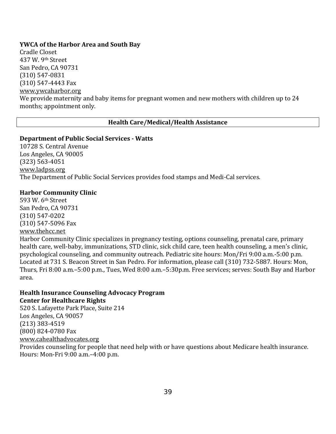## **YWCA of the Harbor Area and South Bay**

Cradle Closet 437 W. 9th Street San Pedro, CA 90731 (310) 547‐0831 (310) 547‐4443 Fax [www.ywcaharbor.org](http://www.ywcaharbor.org/)  We provide maternity and baby items for pregnant women and new mothers with children up to 24 months; appointment only.

## **Health Care/Medical/Health Assistance**

### **Department of Public Social Services Watts**

10728 S. Central Avenue Los Angeles, CA 90005 (323) 563‐4051 [www.ladpss.org](http://www.ladpss.org/)  The Department of Public Social Services provides food stamps and Medi‐Cal services.

#### **Harbor Community Clinic**

593 W. 6th Street San Pedro, CA 90731 (310) 547‐0202 [\(310\) 547‐5096](http://www.thehcc.net/) Fax www.thehcc.net

Harbor Community Clinic specializes in pregnancy testing, options counseling, prenatal care, primary health care, well-baby, immunizations, STD clinic, sick child care, teen health counseling, a men's clinic, psychological counseling, and community outreach. Pediatric site hours: Mon/Fri 9:00 a.m.‐5:00 p.m. Located at 731 S. Beacon Street in San Pedro. For information, please call (310) 732‐5887. Hours: Mon, Thurs, Fri 8:00 a.m.–5:00 p.m., Tues, Wed 8:00 a.m.–5:30p.m. Free services; serves: South Bay and Harbor area.

#### **Health Insurance Counseling Advocacy Program Center for Healthcare Rights**

520 S. Lafayette Park Place, Suite 214 Los Angeles, CA 90057 (213) 383‐4519 (800) 824‐0780 Fax www.cahealthadvocates.org Provides counseling for people that need help with or have questions about Medicare health insurance. Hours: Mon‐Fri 9:00 a.m.–4:00 p.m.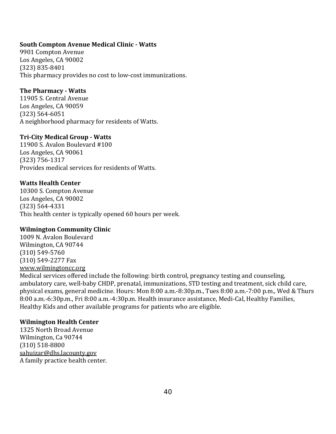## **South Compton Avenue Medical Clinic Watts**

9901 Compton Avenue Los Angeles, CA 90002 (323) 835‐8401 This pharmacy provides no cost to low‐cost immunizations.

## **The Pharmacy Watts**

11905 S. Central Avenue Los Angeles, CA 90059 (323) 564‐6051 A neighborhood pharmacy for residents of Watts.

## **TriCity Medical Group Watts**

11900 S. Avalon Boulevard #100 Los Angeles, CA 90061 (323) 756‐1317 Provides medical services for residents of Watts.

## **Watts Health Center**

10300 S. Compton Avenue Los Angeles, CA 90002 (323) 564‐4331 This health center is typically opened 60 hours per week.

## **Wilmington Community Clinic**

1009 N. Avalon Boulevard Wilmington, CA 90744 (310) 549‐5760 (310) 549‐2277 Fax [www.wilmingtoncc.org](http://www.wilmingtoncc.org/) 

Medical services offered include the following: birth control, pregnancy testing and counseling, ambulatory care, well‐baby CHDP, prenatal, immunizations, STD testing and treatment, sick child care, physical exams, general medicine. Hours: Mon 8:00 a.m.‐8:30p.m., Tues 8:00 a.m.‐7:00 p.m., Wed & Thurs 8:00 a.m.‐6:30p.m., Fri 8:00 a.m.‐4:30p.m. Health insurance assistance, Medi‐Cal, Healthy Families, Healthy Kids and other available programs for patients who are eligible.

# **Wilmington Health Center**

1325 North Broad Avenue Wilmington, Ca 90744 (310) 518‐8800 [sahuizar@dhs.lacounty.gov](mailto:sahuizar@dhs.lacounty.gov) A family practice health center.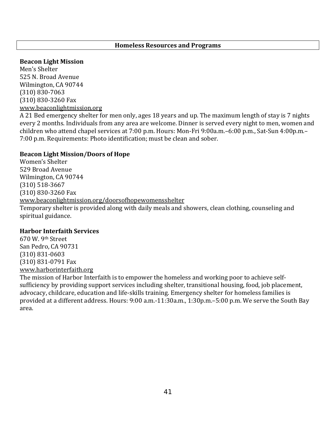## **Homeless Resources and Programs**

#### **Beacon Light Mission**

Men's Shelter 525 N. Broad Avenue Wilmington, CA 90744 (310) 830‐7063 (310) 830‐3260 Fax [www.beaconlightmission.org](http://www.beaconlightmission.org/)

A 21 Bed emergency shelter for men only, ages 18 years and up. The maximum length of stay is 7 nights every 2 months. Individuals from any area are welcome. Dinner is served every night to men, women and children who attend chapel services at 7:00 p.m. Hours: Mon‐Fri 9:00a.m.–6:00 p.m., Sat‐Sun 4:00p.m.– 7:00 p.m. Requirements: Photo identification; must be clean and sober.

### **Beacon Light Mission/Doors of Hope**

Women's Shelter 529 Broad Avenue Wilmington, CA 90744 (310) 518‐3667 (310) 830‐3260 Fax [www.beaconlightmission.org/doorsofhopewomensshelter](http://www.beaconlightmission.org/doorsofhopewomensshelter) Temporary shelter is provided along with daily meals and showers, clean clothing, counseling and spiritual guidance.

#### **Harbor Interfaith Services**

670 W. 9th Street San Pedro, CA 90731 (310) 831‐0603 (310) 831‐0791 Fax [www.harborinterfaith.org](http://www.harborinterfaith.org/) 

The mission of Harbor Interfaith is to empower the homeless and working poor to achieve self‐ sufficiency by providing support services including shelter, transitional housing, food, job placement, advocacy, childcare, education and life‐skills training. Emergency shelter for homeless families is provided at a different address. Hours: 9:00 a.m.‐11:30a.m., 1:30p.m.–5:00 p.m. We serve the South Bay area.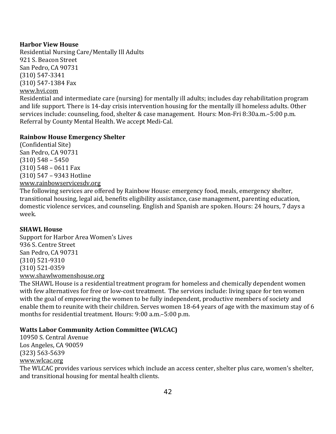# **Harbor View House**

Residential Nursing Care/Mentally Ill Adults 921 S. Beacon Street San Pedro, CA 90731 (310) 547‐3341 [\(310\) 547‐138](http://www.hvi.com/)4 Fax www.hvi.com

Residential and intermediate care (nursing) for mentally ill adults; includes day rehabilitation program and life support. There is 14‐day crisis intervention housing for the mentally ill homeless adults. Other services include: counseling, food, shelter & case management. Hours: Mon‐Fri 8:30a.m.–5:00 p.m. Referral by County Mental Health. We accept Medi‐Cal.

# **Rainbow House Emergency Shelter**

(Confidential Site) San Pedro, CA 90731 (310) 548 – 5450 (310) 548 – 0611 Fax (310) 547 – 9343 Hotline www.rainbowservicesdv.org

[The following services are off](http://www.rainbowservicesdv.org/)ered by Rainbow House: emergency food, meals, emergency shelter, transitional housing, legal aid, benefits eligibility assistance, case management, parenting education, domestic violence services, and counseling. English and Spanish are spoken. Hours: 24 hours, 7 days a week.

# **SHAWL House**

Support for Harbor Area Women's Lives 936 S. Centre Street San Pedro, CA 90731 (310) 521‐9310 (310) 521‐0359 [www.shawlwomenshouse.org](http://www.shawlwomenshouse.org/)

The SHAWL House is a residential treatment program for homeless and chemically dependent women with few alternatives for free or low-cost treatment. The services include: living space for ten women with the goal of empowering the women to be fully independent, productive members of society and enable them to reunite with their children. Serves women 18‐64 years of age with the maximum stay of 6 months for residential treatment. Hours: 9:00 a.m.–5:00 p.m.

# **Watts Labor Community Action Committee (WLCAC)**

10950 S. Central Avenue Los Angeles, CA 90059 (323) 563‐5639 [www.wlcac.org](http://www.wlcac.org/) The WLCAC provides various services which include an access center, shelter plus care, women's shelter, and transitional housing for mental health clients.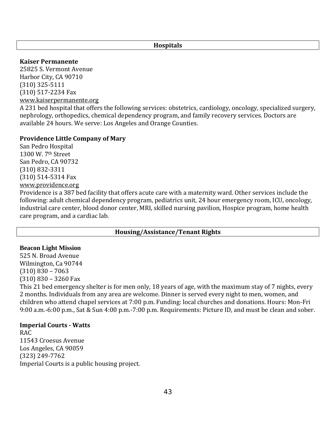### **Hospitals**

### **Kaiser Permanente**

25825 S. Vermont Avenue Harbor City, CA 90710 (310) 325‐5111 (310) 517‐2234 Fax [www.kaiserpermanente.org](http://www.kaiserpermanente.org/)

A 231 bed hospital that offers the following services: obstetrics, cardiology, oncology, specialized surgery, nephrology, orthopedics, chemical dependency program, and family recovery services. Doctors are available 24 hours. We serve: Los Angeles and Orange Counties.

### **Providence Little Company of Mary**

San Pedro Hospital 1300 W. 7th Street San Pedro, CA 90732 (310) 832‐3311 (310) 514‐5314 Fax [www.providence.org](http://www.providence.org/) 

Providence is a 387 bed facility that offers acute care with a maternity ward. Other services include the following: adult chemical dependency program, pediatrics unit, 24 hour emergency room, ICU, oncology, industrial care center, blood donor center, MRI, skilled nursing pavilion, Hospice program, home health care program, and a cardiac lab.

# **Housing/Assistance/Tenant Rights**

## **Beacon Light Mission**

525 N. Broad Avenue Wilmington, Ca 90744 (310) 830 – 7063 (310) 830 – 3260 Fax

This 21 bed emergency shelter is for men only, 18 years of age, with the maximum stay of 7 nights, every 2 months. Individuals from any area are welcome. Dinner is served every night to men, women, and children who attend chapel services at 7:00 p.m. Funding: local churches and donations. Hours: Mon‐Fri 9:00 a.m.‐6:00 p.m., Sat & Sun 4:00 p.m.‐7:00 p.m. Requirements: Picture ID, and must be clean and sober.

## **Imperial Courts Watts**

RAC 11543 Croesus Avenue Los Angeles, CA 90059 (323) 249‐7762 Imperial Courts is a [public housing](http://en.wikipedia.org/wiki/Public_housing) project.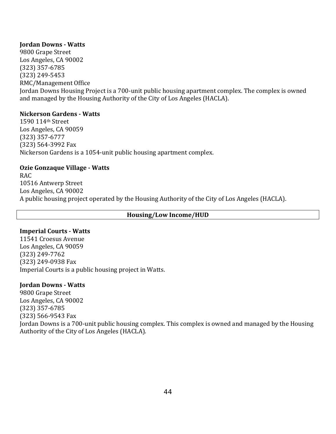## **Jordan Downs Watts**

9800 Grape Street Los Angeles, CA 90002 (323) 357‐6785 (323) 249‐5453 RMC/Management Office Jordan Downs Housi[ng Project is a 700‐unit](http://en.wikipedia.org/wiki/Housing_Authority_of_the_City_of_Los_Angeles) [public housin](http://en.wikipedia.org/wiki/Public_housing)[g apart](http://en.wikipedia.org/wiki/Housing_Authority_of_the_City_of_Los_Angeles)ment complex. The complex is owned and managed by the Housing Authority of the City of Los Angeles (HACLA).

## **Nickerson Gardens Watts**

1590 114th Street Los Angeles, CA 90059 (323) 357‐6777 (323) 564‐3992 Fax Nickerson Gardens is a 1054‐unit public housing apartment complex.

## **Ozie Gonzaque Village Watts**

RAC 10516 Antwerp Street Los Angeles, CA 90002 A public housing project operated by the [Housing Authority of the City of Los Angeles](http://en.wikipedia.org/wiki/Housing_Authority_of_the_City_of_Los_Angeles) (HACLA).

## **Housing/Low Income/HUD**

## **Imperial Courts Watts**

11541 Croesus Avenue Los Angeles, CA 90059 (323) 249‐7762 (323) 249‐0938 Fax Imperial Courts is a [public housing](http://en.wikipedia.org/wiki/Public_housing) project in [Watts](http://en.wikipedia.org/wiki/Watts,_Los_Angeles,_California).

## **Jordan Downs Watts**

9800 Grape Street Los Angeles, CA 90002 (323) 357‐6785 (323) 566‐9543 Fax [Jordan Downs is a 700‐unit p](http://en.wikipedia.org/wiki/Housing_Authority_of_the_City_of_Los_Angeles)[ublic housing](http://en.wikipedia.org/wiki/Public_housing) complex. This complex is owned and managed by the [Housing](http://en.wikipedia.org/wiki/Housing_Authority_of_the_City_of_Los_Angeles)  Authority of the City of Los Angeles (HACLA).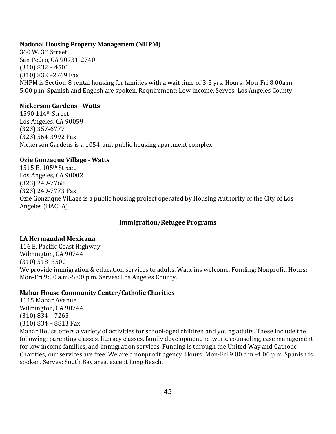## **National Housing Property Management (NHPM)**

360 W. 3rd Street San Pedro, CA 90731‐2740 (310) 832 – 4501 (310) 832 –2769 Fax NHPM is Section‐8 rental housing for families with a wait time of 3‐5 yrs. Hours: Mon‐Fri 8:00a.m.‐ 5:00 p.m. Spanish and English are spoken. Requirement: Low income. Serves: Los Angeles County.

# **Nickerson Gardens Watts**

1590 114th Street Los Angeles, CA 90059 (323) 357‐6777 (323) 564‐3992 Fax Nickerson Gardens is a 1054‐unit public housing apartment complex.

# **Ozie Gonzaque Village Watts**

1515 E. 105th Street Los Angeles, CA 90002 (323) 249‐7768 (323) 249‐7773 Fax [Ozie Gon](http://en.wikipedia.org/wiki/Housing_Authority_of_the_City_of_Los_Angeles)zaque Village is a public housing project operated by [Housing Authority of the City of Los](http://en.wikipedia.org/wiki/Housing_Authority_of_the_City_of_Los_Angeles)  Angeles (HACLA)

# **Immigration/Refugee Programs**

# **LA Hermandad Mexicana**

116 E. Pacific Coast Highway Wilmington, CA 90744 (310) 518–3500 We provide immigration & education services to adults. Walk-ins welcome. Funding: Nonprofit. Hours: Mon‐Fri 9:00 a.m.‐5:00 p.m. Serves: Los Angeles County.

# **Mahar House Community Center/Catholic Charities**

1115 Mahar Avenue Wilmington, CA 90744 (310) 834 – 7265 (310) 834 – 8813 Fax Mahar House offers a variety of activities for school‐aged children and young adults. These include the following: parenting classes, literacy classes, family development network, counseling, case management for low income families, and immigration services. Funding is through the United Way and Catholic Charities; our services are free. We are a nonprofit agency. Hours: Mon‐Fri 9:00 a.m.‐4:00 p.m. Spanish is spoken. Serves: South Bay area, except Long Beach.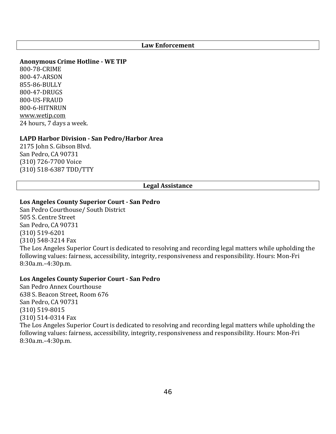#### **Law Enforcement**

## **Anonymous Crime Hotline WE TIP**

800‐78‐CRIME 800‐47‐ARSON 855‐86‐BULLY 800‐47‐DRUGS 800‐US‐FRAUD [800‐6‐HITNRUN](http://www.wetip.com/) www.wetip.com 24 hours, 7 days a week.

#### **LAPD Harbor Division San Pedro/Harbor Area**

2175 John S. Gibson Blvd. San Pedro, CA 90731 (310) 726‐7700 Voice (310) 518‐6387 TDD/TTY

#### **Legal Assistance**

## **Los Angeles County Superior Court San Pedro**

San Pedro Courthouse/ South District 505 S. Centre Street San Pedro, CA 90731 (310) 519‐6201 (310) 548‐3214 Fax The Los Angeles Superior Court is dedicated to resolving and recording legal matters while upholding the following values: fairness, accessibility, integrity, responsiveness and responsibility. Hours: Mon‐Fri 8:30a.m.–4:30p.m.

## **Los Angeles County Superior Court San Pedro**

San Pedro Annex Courthouse 638 S. Beacon Street, Room 676 San Pedro, CA 90731 (310) 519‐8015 (310) 514‐0314 Fax The Los Angeles Superior Court is dedicated to resolving and recording legal matters while upholding the following values: fairness, accessibility, integrity, responsiveness and responsibility. Hours: Mon‐Fri 8:30a.m.–4:30p.m.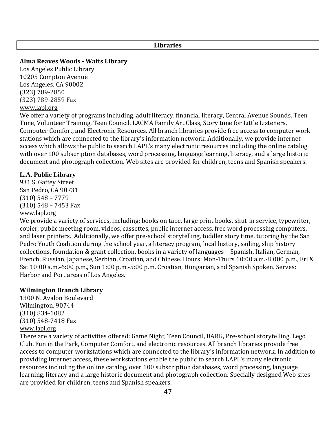### **Libraries**

**Alma Reaves Woods Watts Library**

Los Angeles Public Library 10205 Compton Avenue Los Angeles, CA 90002 (323) 789‐2850 [\(323\) 789‐28](http://www.lapl.org/)59 Fax

# www.lapl.org

We offer a variety of programs including, adult literacy, financial literacy, Central Avenue Sounds, Teen Time, Volunteer Training, Teen Council, LACMA Family Art Class, Story time for Little Listeners, Computer Comfort, and Electronic Resources. All branch libraries provide free access to computer work stations which are connected to the library's information network. Additionally, we provide internet access which allows the public to search LAPL's many electronic resources including the online catalog with over 100 [subscription databases](http://databases.lapl.org/), word processing, languag[e learning](http://www.lapl.org/kidspath/index.html)[,](http://www.lapl.org/ya/) [literacy,](http://www.lapl.org/literacy/index.html) [and a](http://www.lapl.org/espanol/index.html) [large historic](http://catalog.lapl.org/) document and photograph collection. Web sites are provided for children, teens and Spanish speakers.

## **L.A. Public Library**

931 S. Gaffey Street San Pedro, CA 90731 (310) 548 – 7779 (310) 548 – 7453 Fax [www.lapl.org](http://www.lapl.org/)

We provide a variety of services, including: books on tape, large print books, shut-in service, typewriter, copier, public meeting room, videos, cassettes, public internet access, free word processing computers, and laser printers. Additionally, we offer pre‐school storytelling, toddler story time, tutoring by the San Pedro Youth Coalition during the school year, a literacy program, local history, sailing, ship history collections, foundation & grant collection, books in a variety of languages—Spanish, Italian, German, French, Russian, Japanese, Serbian, Croatian, and Chinese. Hours: Mon‐Thurs 10:00 a.m.‐8:000 p.m., Fri & Sat 10:00 a.m.‐6:00 p.m., Sun 1:00 p.m.‐5:00 p.m. Croatian, Hungarian, and Spanish Spoken. Serves: Harbor and Port areas of Los Angeles.

## **Wilmington Branch Library**

1300 N. Avalon Boulevard Wilmington, 90744 (310) 834‐1082 (310) 548‐7418 Fax [www.lapl.org](http://www.lapl.org/)

There are a variety of activities offered: Game Night, Teen Council, BARK, Pre‐school storytelling, Lego Club, Fun in the Park, Computer Comfort, and electronic resources. All branch libraries provide free access to computer workstations which are connected to the library's information network. In addition to providing Internet acce[ss, these works](http://catalog.lapl.org/)tations e[nable the public to search](http://databases.lapl.org/) LAPL's many electronic resource[s includi](http://www.lapl.org/literacy/index.html)ng the online catalog, over 100 subscription databases, word processing, language learning, literac[y and a lar](http://www.lapl.org/kidspath/index.html)[ge his](http://www.lapl.org/ya/)tori[c docume](http://www.lapl.org/espanol/index.html)nt and photograph collection. Specially designed Web sites are provided for children, teens and Spanish speakers.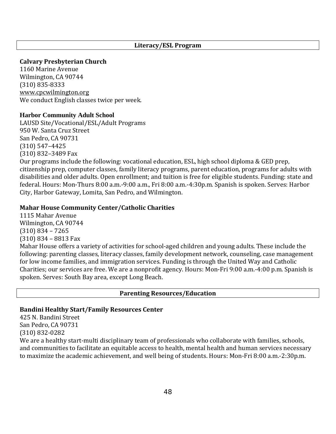## **Literacy/ESL Program**

## **Calvary Presbyterian Church**

1160 Marine Avenue Wilmington, CA 90744 (310) 835‐8333 www.cpcwilmington.org [We conduct English class](http://www.cpcwilmington.org/)es twice per week.

## **Harbor Community Adult School**

LAUSD Site/Vocational/ESL/Adult Programs 950 W. Santa Cruz Street San Pedro, CA 90731 (310) 547–4425 (310) 832–3489 Fax

Our programs include the following: vocational education, ESL, high school diploma & GED prep, citizenship prep, computer classes, family literacy programs, parent education, programs for adults with disabilities and older adults. Open enrollment; and tuition is free for eligible students. Funding: state and federal. Hours: Mon‐Thurs 8:00 a.m.‐9:00 a.m., Fri 8:00 a.m.‐4:30p.m. Spanish is spoken. Serves: Harbor City, Harbor Gateway, Lomita, San Pedro, and Wilmington.

## **Mahar House Community Center/Catholic Charities**

1115 Mahar Avenue Wilmington, CA 90744 (310) 834 – 7265 (310) 834 – 8813 Fax

Mahar House offers a variety of activities for school‐aged children and young adults. These include the following: parenting classes, literacy classes, family development network, counseling, case management for low income families, and immigration services. Funding is through the United Way and Catholic Charities; our services are free. We are a nonprofit agency. Hours: Mon‐Fri 9:00 a.m.‐4:00 p.m. Spanish is spoken. Serves: South Bay area, except Long Beach.

#### **Parenting Resources/Education**

## **Bandini Healthy Start/Family Resources Center**

425 N. Bandini Street San Pedro, CA 90731 (310) 832‐0282

We are a healthy start-multi disciplinary team of professionals who collaborate with families, schools, and communities to facilitate an equitable access to health, mental health and human services necessary to maximize the academic achievement, and well being of students. Hours: Mon‐Fri 8:00 a.m.‐2:30p.m.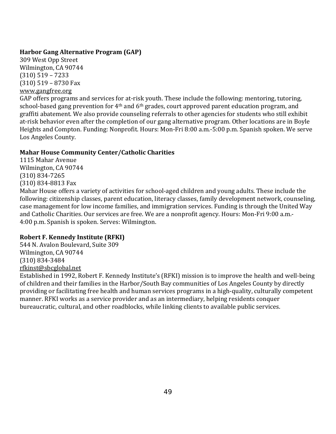# **Harbor Gang Alternative Program (GAP)**

309 West Opp Street Wilmington, CA 90744 (310) 519 – 7233 (310) 519 – 8730 Fax www.gangfree.org

GAP offers programs and services for at-risk youth. These include the following: mentoring, tutoring, school-based gang prevention for 4<sup>th</sup> and 6<sup>th</sup> grades, court approved parent education program, and graffiti abatement. We also provide counseling referrals to other agencies for students who still exhibit at-risk behavior even after the completion of our gang alternative program. Other locations are in Boyle Heights and Compton. Funding: Nonprofit. Hours: Mon‐Fri 8:00 a.m.‐5:00 p.m. Spanish spoken. We serve Los Angeles County.

# **Mahar House Community Center/Catholic Charities**

1115 Mahar Avenue Wilmington, CA 90744 (310) 834‐7265 (310) 834‐8813 Fax

Mahar House offers a variety of activities for school-aged children and young adults. These include the following: citizenship classes, parent education, literacy classes, family development network, counseling, case management for low income families, and immigration services. Funding is through the United Way and Catholic Charities. Our services are free. We are a nonprofit agency. Hours: Mon‐Fri 9:00 a.m.‐ 4:00 p.m. Spanish is spoken. Serves: Wilmington.

# **Robert F. Kennedy Institute (RFKI)**

544 N. Avalon Boulevard, Suite 309 Wilmington, CA 90744 (310) 834‐3484 [rfkinst@sbcglobal.net](mailto:rfkinst@sbcglobal.net)

Established in 1992, Robert F. Kennedy Institute's (RFKI) mission is to improve the health and well‐being of children and their families in the Harbor/South Bay communities of Los Angeles County by directly providing or facilitating free health and human services programs in a high‐quality, culturally competent manner. RFKI works as a service provider and as an intermediary, helping residents conquer bureaucratic, cultural, and other roadblocks, while linking clients to available public services.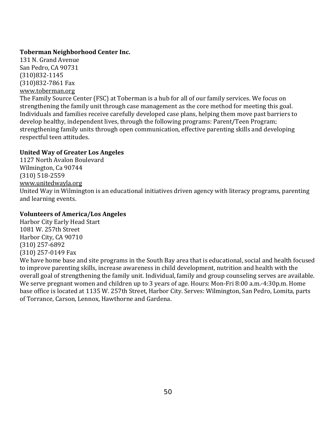# **Toberman Neighborhood Center Inc.**

131 N. Grand Avenue San Pedro, CA 90731 (310)832‐1145 [\(310\)832‐7861 Fax](http://www.toberman.org/) www.toberman.org

The Family Source Center (FSC) at Toberman is a hub for all of our family services. We focus on strengthening the family unit through case management as the core method for meeting this goal. Individuals and families receive carefully developed case plans, helping them move past barriers to develop healthy, independent lives, through the following programs: Parent/Teen Program; strengthening family units through open communication, effective parenting skills and developing respectful teen attitudes.

# **United Way of Greater Los Angeles**

1127 North Avalon Boulevard Wilmington, Ca 90744 (310) 518‐2559 [www.unitedwayla.org](http://www.unitedwayla.org/)  United Way in Wilmington is an educational initiatives driven agency with literacy programs, parenting and learning events.

# **Volunteers of America/Los Angeles**

Harbor City Early Head Start 1081 W. 257th Street Harbor City, CA 90710 (310) 257‐6892 (310) 257‐0149 Fax

We have home base and site programs in the South Bay area that is educational, social and health focused to improve parenting skills, increase awareness in child development, nutrition and health with the overall goal of strengthening the family unit. Individual, family and group counseling serves are available. We serve pregnant women and children up to 3 years of age. Hours: Mon-Fri 8:00 a.m.-4:30p.m. Home base office is located at 1135 W. 257th Street, Harbor City. Serves: Wilmington, San Pedro, Lomita, parts of Torrance, Carson, Lennox, Hawthorne and Gardena.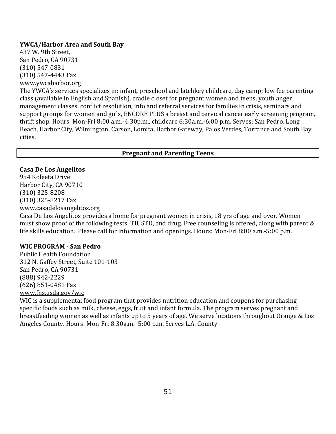## **YWCA/Harbor Area and South Bay**

437 W. 9th Street, San Pedro, CA 90731 (310) 547‐0831 (310) 547‐4443 Fax [www.ywcaharbor.org](http://www.ywcaharbor.org/) 

The YWCA's services specializes in: infant, preschool and latchkey childcare, day camp; low fee parenting class (available in English and Spanish), cradle closet for pregnant women and teens, youth anger management classes, conflict resolution, info and referral services for families in crisis, seminars and support groups for women and girls, ENCORE PLUS a breast and cervical cancer early screening program, thrift shop. Hours: Mon‐Fri 8:00 a.m.‐4:30p.m., childcare 6:30a.m.‐6:00 p.m. Serves: San Pedro, Long Beach, Harbor City, Wilmington, Carson, Lomita, Harbor Gateway, Palos Verdes, Torrance and South Bay cities.

## **Pregnant and Parenting Teens**

## **Casa De Los Angelitos**

954 Koleeta Drive Harbor City, CA 90710 (310) 325‐8208 (310) 325‐8217 Fax [www.casadelosangelitos.org](http://www.casadelosangelitos.org/)

Casa De Los Angelitos provides a home for pregnant women in crisis, 18 yrs of age and over. Women must show proof of the following tests: TB, STD, and drug. Free counseling is offered, along with parent & life skills education. Please call for information and openings. Hours: Mon‐Fri 8:00 a.m.‐5:00 p.m.

## **WIC PROGRAM San Pedro**

Public Health Foundation 312 N. Gaffey Street, Suite 101‐103 San Pedro, CA 90731 (888) 942‐2229 (626) 851‐0481 Fax [www.fns.usda.gov/wic](http://www.fns.usda.gov/wic)

WIC is a supplemental food program that provides nutrition education and coupons for purchasing specific foods such as milk, cheese, eggs, fruit and infant formula. The program serves pregnant and breastfeeding women as well as infants up to 5 years of age. We serve locations throughout Orange & Los Angeles County. Hours: Mon‐Fri 8:30a.m.–5:00 p.m. Serves L.A. County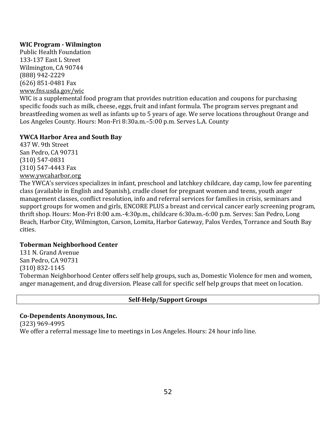# **WIC Program Wilmington**

Public Health Foundation 133‐137 East L Street Wilmington, CA 90744 (888) 942‐2229 (626) 851‐0481 Fax [www.fns.usda.gov/wic](http://www.fns.usda.gov/wic)

WIC is a supplemental food program that provides nutrition education and coupons for purchasing specific foods such as milk, cheese, eggs, fruit and infant formula. The program serves pregnant and breastfeeding women as well as infants up to 5 years of age. We serve locations throughout Orange and Los Angeles County. Hours: Mon‐Fri 8:30a.m.–5:00 p.m. Serves L.A. County

# **YWCA Harbor Area and South Bay**

437 W. 9th Street San Pedro, CA 90731 (310) 547‐0831 (310) 547‐4443 Fax www.ywcaharbor.org

[The YWCA's services s](http://www.ywcaharbor.org/)pecializes in infant, preschool and latchkey childcare, day camp, low fee parenting class (available in English and Spanish), cradle closet for pregnant women and teens, youth anger management classes, conflict resolution, info and referral services for families in crisis, seminars and support groups for women and girls, ENCORE PLUS a breast and cervical cancer early screening program, thrift shop. Hours: Mon‐Fri 8:00 a.m.‐4:30p.m., childcare 6:30a.m.‐6:00 p.m. Serves: San Pedro, Long Beach, Harbor City, Wilmington, Carson, Lomita, Harbor Gateway, Palos Verdes, Torrance and South Bay cities.

# **Toberman Neighborhood Center**

131 N. Grand Avenue San Pedro, CA 90731 (310) 832‐1145 Toberman Neighborhood Center offers self help groups, such as, Domestic Violence for men and women, anger management, and drug diversion. Please call for specific self help groups that meet on location.

# **SelfHelp/Support Groups**

# **CoDependents Anonymous, Inc.**

(323) 969‐4995

We offer a referral message line to meetings in Los Angeles. Hours: 24 hour info line.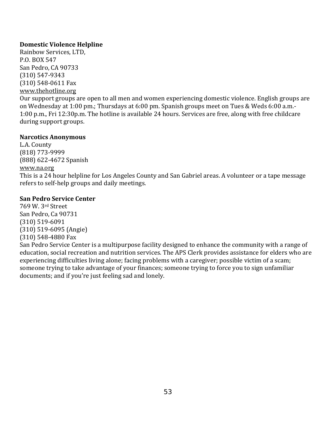# **Domestic Violence Helpline**

Rainbow Services, LTD, P.O. BOX 547 San Pedro, CA 90733 (310) 547‐9343 [\(310\) 548‐0611 Fax](http://www.thehotline.org/) www.thehotline.org

Our support groups are open to all men and women experiencing domestic violence. English groups are on Wednesday at 1:00 pm.; Thursdays at 6:00 pm. Spanish groups meet on Tues & Weds 6:00 a.m.‐ 1:00 p.m., Fri 12:30p.m. The hotline is available 24 hours. Services are free, along with free childcare during support groups.

# **Narcotics Anonymous**

L.A. County (818) 773‐9999 (888) 622‐4672 Spanish www.na.org This is a 24 hour helpline for Los Angeles County and San Gabriel areas. A volunteer or a tape message refers to self‐help groups and daily meetings.

# **San Pedro Service Center**

769 W. 3rd Street San Pedro, Ca 90731 (310) 519‐6091 (310) 519‐6095 (Angie) (310) 548‐4880 Fax

San Pedro Service Center is a multipurpose facility designed to enhance the community with a range of education, social recreation and nutrition services. The APS Clerk provides assistance for elders who are experiencing difficulties living alone; facing problems with a caregiver; possible victim of a scam; someone trying to take advantage of your finances; someone trying to force you to sign unfamiliar documents; and if you're just feeling sad and lonely.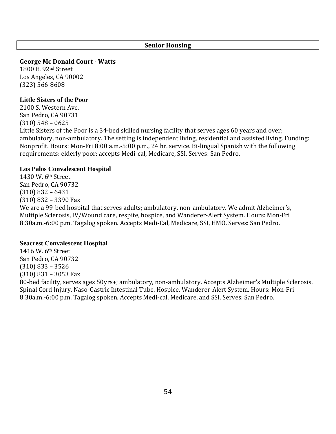## **Senior Housing**

**George Mc Donald Court Watts**

1800 E. 92nd Street Los Angeles, CA 90002 (323) 566‐8608

### **Little Sisters of the Poor**

2100 S. Western Ave. San Pedro, CA 90731 (310) 548 – 0625 Little Sisters of the Poor is a 34‐bed skilled nursing facility that serves ages 60 years and over; ambulatory, non‐ambulatory. The setting is independent living, residential and assisted living. Funding: Nonprofit. Hours: Mon‐Fri 8:00 a.m.‐5:00 p.m., 24 hr. service. Bi‐lingual Spanish with the following requirements: elderly poor; accepts Medi‐cal, Medicare, SSI. Serves: San Pedro.

## **Los Palos Convalescent Hospital**

1430 W. 6th Street San Pedro, CA 90732 (310) 832 – 6431 (310) 832 – 3390 Fax We are a 99-bed hospital that serves adults; ambulatory, non-ambulatory. We admit Alzheimer's, Multiple Sclerosis, IV/Wound care, respite, hospice, and Wanderer‐Alert System. Hours: Mon‐Fri 8:30a.m.‐6:00 p.m. Tagalog spoken. Accepts Medi‐Cal, Medicare, SSI, HMO. Serves: San Pedro.

## **Seacrest Convalescent Hospital**

1416 W. 6th Street San Pedro, CA 90732 (310) 833 – 3526 (310) 831 – 3053 Fax 80-bed facility, serves ages 50yrs+; ambulatory, non-ambulatory. Accepts Alzheimer's Multiple Sclerosis, Spinal Cord Injury, Naso‐Gastric Intestinal Tube. Hospice, Wanderer‐Alert System. Hours: Mon‐Fri 8:30a.m.‐6:00 p.m. Tagalog spoken. Accepts Medi‐cal, Medicare, and SSI. Serves: San Pedro.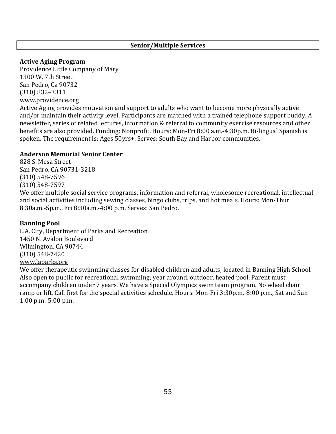## **Senior/Multiple Services**

## **Active Aging Program**

Providence Little Company of Mary 1300 W. 7th Street San Pedro, Ca 90732 (310) 832–3311 [www.providence.org](http://www.providence.org/) 

Active Aging provides motivation and support to adults who want to become more physically active and/or maintain their activity level. Participants are matched with a trained telephone support buddy. A newsletter, series of related lectures, information & referral to community exercise resources and other benefits are also provided. Funding: Nonprofit. Hours: Mon‐Fri 8:00 a.m.‐4:30p.m. Bi‐lingual Spanish is spoken. The requirement is: Ages 50yrs+. Serves: South Bay and Harbor communities.

## **Anderson Memorial Senior Center**

828 S. Mesa Street San Pedro, CA 90731‐3218 (310) 548‐7596 (310) 548‐7597

We offer multiple social service programs, information and referral, wholesome recreational, intellectual and social activities including sewing classes, bingo clubs, trips, and hot meals. Hours: Mon‐Thur 8:30a.m.‐5p.m., Fri 8:30a.m.‐4:00 p.m. Serves: San Pedro.

# **Banning Pool**

L.A. City, Department of Parks and Recreation 1450 N. Avalon Boulevard Wilmington, CA 90744 (310) 548‐7420 [www.laparks.org](http://www.laparks.org/)

We offer therapeutic swimming classes for disabled children and adults; located in Banning High School. Also open to public for recreational swimming; year around, outdoor, heated pool. Parent must accompany children under 7 years. We have a Special Olympics swim team program. No wheel chair ramp or lift. Call first for the special activities schedule. Hours: Mon-Fri 3:30p.m.-8:00 p.m., Sat and Sun 1:00 p.m.‐5:00 p.m.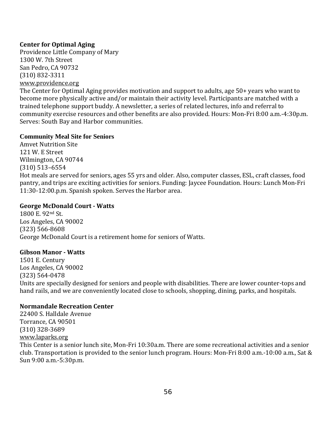# **Center for Optimal Aging**

Providence Little Company of Mary 1300 W. 7th Street San Pedro, CA 90732 (310) 832‐3311 [www.providence.org](http://www.providence.org/) 

The Center for Optimal Aging provides motivation and support to adults, age 50+ years who want to become more physically active and/or maintain their activity level. Participants are matched with a trained telephone support buddy. A newsletter, a series of related lectures, info and referral to community exercise resources and other benefits are also provided. Hours: Mon‐Fri 8:00 a.m.‐4:30p.m. Serves: South Bay and Harbor communities.

## **Community Meal Site for Seniors**

Amvet Nutrition Site 121 W. E Street Wilmington, CA 90744 (310) 513–6554 Hot meals are served for seniors, ages 55 yrs and older. Also, computer classes, ESL, craft classes, food pantry, and trips are exciting activities for seniors. Funding: Jaycee Foundation. Hours: Lunch Mon‐Fri 11:30‐12:00.p.m. Spanish spoken. Serves the Harbor area.

# **George McDonald Court Watts**

1800 E. 92nd St. Los Angeles, CA 90002 (323) 566‐8608 George McDonald Court is a retirement home for seniors of Watts.

# **Gibson Manor Watts**

1501 E. Century Los Angeles, CA 90002 (323) 564‐0478 Units are specially designed for seniors and people with disabilities. There are lower counter‐tops and hand rails, and we are conveniently located close to schools, shopping, dining, parks, and hospitals.

# **Normandale Recreation Center**

22400 S. Halldale Avenue Torrance, CA 90501 (310) 328‐3689 [www.laparks.org](http://www.laparks.org/) This Center is a senior lunch site, Mon‐Fri 10:30a.m. There are some recreational activities and a senior club. Transportation is provided to the senior lunch program. Hours: Mon‐Fri 8:00 a.m.‐10:00 a.m., Sat & Sun 9:00 a.m.‐5:30p.m.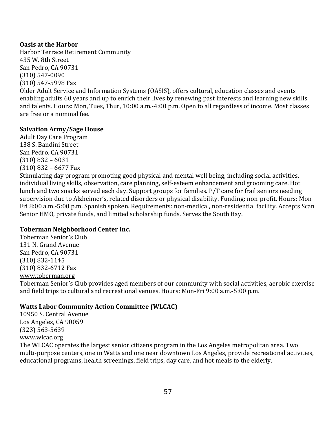## **Oasis at the Harbor**

Harbor Terrace Retirement Community 435 W. 8th Street San Pedro, CA 90731 (310) 547‐0090 (310) 547‐5998 Fax Older Adult Service and Information Systems (OASIS), offers cultural, education classes and events enabling adults 60 years and up to enrich their lives by renewing past interests and learning new skills and talents. Hours: Mon, Tues, Thur, 10:00 a.m.‐4:00 p.m. Open to all regardless of income. Most classes

# **Salvation Army/Sage House**

are free or a nominal fee.

Adult Day Care Program 138 S. Bandini Street San Pedro, CA 90731 (310) 832 – 6031 (310) 832 – 6677 Fax

Stimulating day program promoting good physical and mental well being, including social activities, individual living skills, observation, care planning, self‐esteem enhancement and grooming care. Hot lunch and two snacks served each day. Support groups for families. P/T care for frail seniors needing supervision due to Alzheimer's, related disorders or physical disability. Funding: non‐profit. Hours: Mon‐ Fri 8:00 a.m.‐5:00 p.m. Spanish spoken. Requirements: non‐medical, non‐residential facility. Accepts Scan Senior HMO, private funds, and limited scholarship funds. Serves the South Bay.

# **Toberman Neighborhood Center Inc.**

Toberman Senior's Club 131 N. Grand Avenue San Pedro, CA 90731 (310) 832‐1145 (310) 832‐6712 Fax www.toberman.org

[Toberman Senior's C](http://www.toberman.org/)lub provides aged members of our community with social activities, aerobic exercise and field trips to cultural and recreational venues. Hours: Mon‐Fri 9:00 a.m.‐5:00 p.m.

# **Watts Labor Community Action Committee (WLCAC)**

10950 S. Central Avenue Los Angeles, CA 90059 (323) 563‐5639 [www.wlcac.org](http://www.wlcac.org/)

The WLCAC operates the largest senior citizens program in the Los Angeles metropolitan area. Two multi-purpose centers, one in Watts and one near downtown Los Angeles, provide recreational activities, educational programs, health screenings, field trips, day care, and hot meals to the elderly.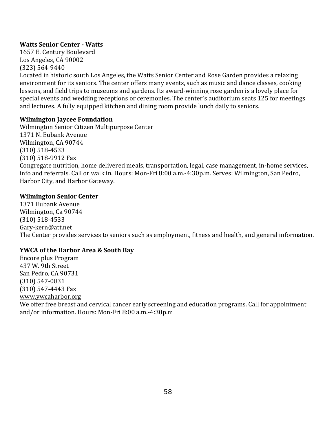# **Watts Senior Center Watts**

1657 E. Century Boulevard Los Angeles, CA 90002 (323) 564‐9440

Located in historic south Los Angeles, the Watts Senior Center and Rose Garden provides a relaxing environment for its seniors. The center offers many events, such as music and dance classes, cooking lessons, and field trips to museums and gardens. Its award‐winning rose garden is a lovely place for special events and wedding receptions or ceremonies. The center's auditorium seats 125 for meetings and lectures. A fully equipped kitchen and dining room provide lunch daily to seniors.

# **Wilmington Jaycee Foundation**

Wilmington Senior Citizen Multipurpose Center 1371 N. Eubank Avenue Wilmington, CA 90744 (310) 518‐4533 (310) 518‐9912 Fax Congregate nutrition, home delivered meals, transportation, legal, case management, in‐home services, info and referrals. Call or walk in. Hours: Mon‐Fri 8:00 a.m.‐4:30p.m. Serves: Wilmington, San Pedro, Harbor City, and Harbor Gateway.

# **Wilmington Senior Center**

1371 Eubank Avenue Wilmington, Ca 90744 (310) 518‐4533 [Gary‐kern@att.net](mailto:Gary-kern@att.net)  The Center provides services to seniors such as employment, fitness and health, and general information.

# **YWCA of the Harbor Area & South Bay**

Encore plus Program 437 W. 9th Street San Pedro, CA 90731 (310) 547‐0831 (310) 547‐4443 Fax [www.ywcaharbor.org](http://www.ywcaharbor.org/)  We offer free breast and cervical cancer early screening and education programs. Call for appointment and/or information. Hours: Mon‐Fri 8:00 a.m.‐4:30p.m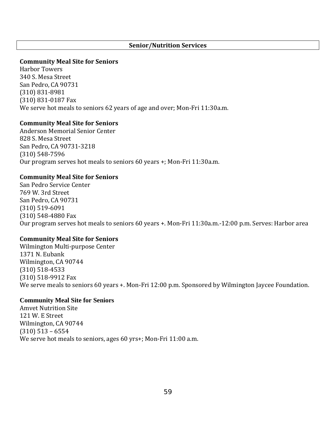### **Senior/Nutrition Services**

### **Community Meal Site for Seniors**

Harbor Towers 340 S. Mesa Street San Pedro, CA 90731 (310) 831‐8981 (310) 831‐0187 Fax We serve hot meals to seniors 62 years of age and over; Mon-Fri 11:30a.m.

## **Community Meal Site for Seniors**

Anderson Memorial Senior Center 828 S. Mesa Street San Pedro, CA 90731‐3218 (310) 548‐7596 Our program serves hot meals to seniors 60 years +; Mon‐Fri 11:30a.m.

## **Community Meal Site for Seniors**

San Pedro Service Center 769 W. 3rd Street San Pedro, CA 90731 (310) 519‐6091 (310) 548‐4880 Fax Our program serves hot meals to seniors 60 years +. Mon‐Fri 11:30a.m.‐12:00 p.m. Serves: Harbor area

## **Community Meal Site for Seniors**

Wilmington Multi‐purpose Center 1371 N. Eubank Wilmington, CA 90744 (310) 518‐4533 (310) 518‐9912 Fax We serve meals to seniors 60 years +. Mon-Fri 12:00 p.m. Sponsored by Wilmington Jaycee Foundation.

#### **Community Meal Site for Seniors**

Amvet Nutrition Site 121 W. E Street Wilmington, CA 90744 (310) 513 – 6554 We serve hot meals to seniors, ages 60 yrs+; Mon-Fri 11:00 a.m.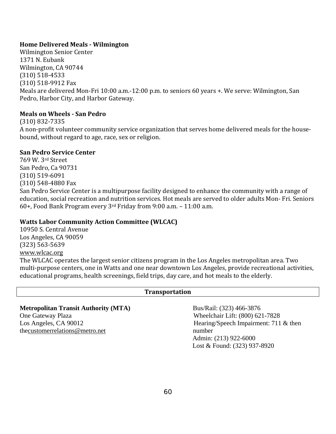# **Home Delivered Meals Wilmington**

Wilmington Senior Center 1371 N. Eubank Wilmington, CA 90744 (310) 518‐4533 (310) 518‐9912 Fax Meals are delivered Mon‐Fri 10:00 a.m.‐12:00 p.m. to seniors 60 years +. We serve: Wilmington, San Pedro, Harbor City, and Harbor Gateway.

# **Meals on Wheels San Pedro**

(310) 832‐7335 A non‐profit volunteer community service organization that serves home delivered meals for the house‐ bound, without regard to age, race, sex or religion.

# **San Pedro Service Center**

769 W. 3rd Street San Pedro, Ca 90731 (310) 519‐6091 (310) 548‐4880 Fax San Pedro Service Center is a multipurpose facility designed to enhance the community with a range of education, social recreation and nutrition services. Hot meals are served to older adults Mon‐ Fri. Seniors 60+, Food Bank Program every 3rd Friday from 9:00 a.m. – 11:00 a.m.

# **Watts Labor Community Action Committee (WLCAC)**

10950 S. Central Avenue Los Angeles, CA 90059 (323) 563‐5639 [www.wlcac.org](http://www.wlcac.org/) The WLCAC operates the largest senior citizens program in the Los Angeles metropolitan area. Two multi‐purpose centers, one in Watts and one near downtown Los Angeles, provide recreational activities, educational programs, health screenings, field trips, day care, and hot meals to the elderly.

# **Transportation**

| <b>Metropolitan Transit Authority (MTA)</b> | Bus/Rail: (323) 466-3876                 |
|---------------------------------------------|------------------------------------------|
| One Gateway Plaza                           | Wheelchair Lift: (800) 621-7828          |
| Los Angeles, CA 90012                       | Hearing/Speech Impairment: $711 \&$ then |
| thecustomerrelations@metro.net              | number                                   |
|                                             | Admin: (213) 922-6000                    |
|                                             | Lost & Found: (323) 937-8920             |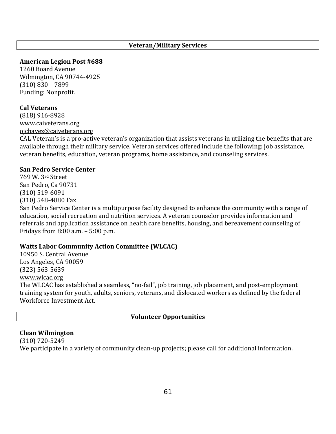## **Veteran/Military Services**

**American Legion Post #688**

1260 Board Avenue Wilmington, CA 90744‐4925 (310) 830 – 7899 Funding: Nonprofit.

### **Cal Veterans**

(818) 916‐8928 [www.caiveterans.org](http://www.caiveterans.org/) [ojchavez@caiveterans.org](mailto:ojchavez@caiveterans.org)

CAL Veteran's is a pro‐active veteran's organization that assists veterans in utilizing the benefits that are available through their military service. Veteran services offered include the following: job assistance, veteran benefits, education, veteran programs, home assistance, and counseling services.

#### **San Pedro Service Center**

769 W. 3rd Street San Pedro, Ca 90731 (310) 519‐6091 (310) 548‐4880 Fax

San Pedro Service Center is a multipurpose facility designed to enhance the community with a range of education, social recreation and nutrition services. A veteran counselor provides information and referrals and application assistance on health care benefits, housing, and bereavement counseling of Fridays from 8:00 a.m. – 5:00 p.m.

#### **Watts Labor Community Action Committee (WLCAC)**

10950 S. Central Avenue Los Angeles, CA 90059 (323) 563‐5639 [www.wlcac.org](http://www.wlcac.org/) The WLCAC has established a seamless, "no-fail", job training, job placement, and post-employment training system for youth, adults, seniors, veterans, and dislocated workers as defined by the federal Workforce Investment Act.

### **Volunteer Opportunities**

#### **Clean Wilmington**

(310) 720‐5249 We participate in a variety of community clean-up projects; please call for additional information.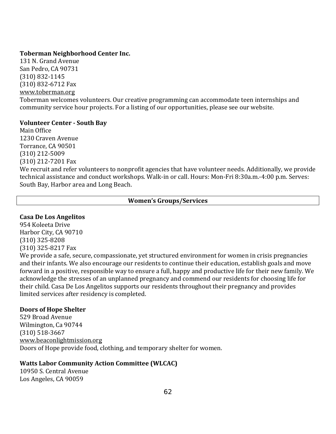## **Toberman Neighborhood Center Inc.**

131 N. Grand Avenue San Pedro, CA 90731 (310) 832‐1145 (310) 832‐6712 Fax www.toberman.org Toberman welcomes volunteers. Our creative programming can accommodate teen internships and community service hour projects. For a listing of our opportunities, please see our website.

## **Volunteer Center South Bay**

Main Office 1230 Craven Avenue Torrance, CA 90501 (310) 212‐5009 (310) 212‐7201 Fax We recruit and refer volunteers to nonprofit agencies that have volunteer needs. Additionally, we provide technical assistance and conduct workshops. Walk‐in or call. Hours: Mon‐Fri 8:30a.m.‐4:00 p.m. Serves: South Bay, Harbor area and Long Beach.

## **Women's Groups/Services**

# **Casa De Los Angelitos**

954 Koleeta Drive Harbor City, CA 90710 (310) 325‐8208 (310) 325‐8217 Fax

We provide a safe, secure, compassionate, yet structured environment for women in crisis pregnancies and their infants. We also encourage our residents to continue their education, establish goals and move forward in a positive, responsible way to ensure a full, happy and productive life for their new family. We acknowledge the stresses of an unplanned pregnancy and commend our residents for choosing life for their child. Casa De Los Angelitos supports our residents throughout their pregnancy and provides limited services after residency is completed.

# **Doors of Hope Shelter**

529 Broad Avenue Wilmington, Ca 90744 (310) 518‐3667 www.beaconlightmission.org [Doors of Hope provide food, c](http://www.beaconlightmission.org/)lothing, and temporary shelter for women.

# **Watts Labor Community Action Committee (WLCAC)**

10950 S. Central Avenue Los Angeles, CA 90059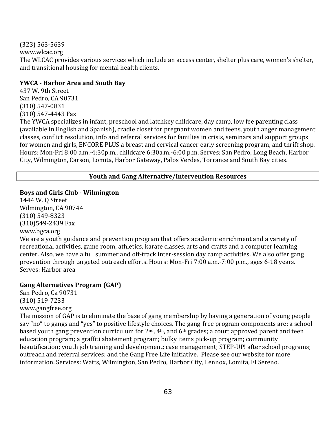[\(323\) 563‐5639](http://www.wlcac.org/)

www.wlcac.org

The WLCAC provides various services which include an access center, shelter plus care, women's shelter, and transitional housing for mental health clients.

# **YWCA Harbor Area and South Bay**

437 W. 9th Street San Pedro, CA 90731 (310) 547‐0831 (310) 547‐4443 Fax

The YWCA specializes in infant, preschool and latchkey childcare, day camp, low fee parenting class (available in English and Spanish), cradle closet for pregnant women and teens, youth anger management classes, conflict resolution, info and referral services for families in crisis, seminars and support groups for women and girls, ENCORE PLUS a breast and cervical cancer early screening program, and thrift shop. Hours: Mon‐Fri 8:00 a.m.‐4:30p.m., childcare 6:30a.m.‐6:00 p.m. Serves: San Pedro, Long Beach, Harbor City, Wilmington, Carson, Lomita, Harbor Gateway, Palos Verdes, Torrance and South Bay cities.

# **Youth and Gang Alternative/Intervention Resources**

# **Boys and Girls Club Wilmington**

1444 W. Q Street Wilmington, CA 90744 (310) 549‐8323 (310)549‐2439 Fax www.bgca.org

We are a youth guidance and prevention program that offers academic enrichment and a variety of recreational activities, game room, athletics, karate classes, arts and crafts and a computer learning center. Also, we have a full summer and off‐track inter‐session day camp activities. We also offer gang prevention through targeted outreach efforts. Hours: Mon‐Fri 7:00 a.m.‐7:00 p.m., ages 6‐18 years. Serves: Harbor area

# **Gang Alternatives Program (GAP)**

San Pedro, Ca 90731 (310) 519‐7233 www.gangfree.org

[The mission of GAP](http://www.gangfree.org/) is to eliminate the base of gang membership by having a generation of young people say "no" to gangs and "yes" to positive lifestyle choices. The gang-free program components are: a schoolbased youth gang prevention curriculum for 2nd, 4th, and 6th grades; a court approved parent and teen education program; a graffiti abatement program; bulky items pick‐up program; community beautification; youth job training and development; case management; STEP‐UP! after school programs; outreach and referral services; and the Gang Free Life initiative. Please see our website for more information. Services: Watts, Wilmington, San Pedro, Harbor City, Lennox, Lomita, El Sereno.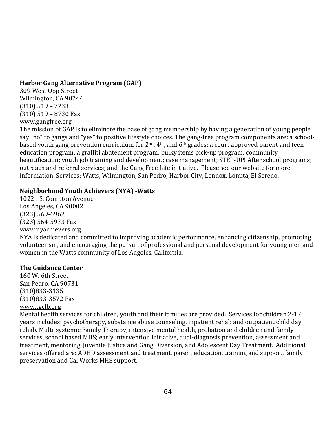# **Harbor Gang Alternative Program (GAP)**

309 West Opp Street Wilmington, CA 90744 (310) 519 – 7233 (310) 519 – 8730 Fax [www.gangfree.org](http://www.gangfree.org/) 

The mission of GAP is to eliminate the base of gang membership by having a generation of young people say "no" to gangs and "yes" to positive lifestyle choices. The gang-free program components are: a schoolbased youth gang prevention curriculum for 2nd, 4th, and 6th grades; a court approved parent and teen education program; a graffiti abatement program; bulky items pick‐up program; community beautification; youth job training and development; case management; STEP‐UP! After school programs; outreach and referral services; and the Gang Free Life initiative. Please see our website for more information. Services: Watts, Wilmington, San Pedro, Harbor City, Lennox, Lomita, El Sereno.

# **Neighborhood Youth Achievers (NYA) Watts**

10221 S. Compton Avenue Los Angeles, CA 90002 (323) 569‐6962 (323) 564‐5973 Fax www.nyachievers.org

[NYA is dedicated and c](http://www.nyachievers.org/)ommitted to improving academic performance, enhancing citizenship, promoting volunteerism, and encouraging the pursuit of professional and personal development for young men and women in the Watts community of Los Angeles, California.

# **The Guidance Center**

160 W. 6th Street San Pedro, CA 90731 (310)833‐3135 (310)833‐3572 Fax [www.tgclb.org](http://www.tgclb.org/)

Mental health services for children, youth and their families are provided. Services for children 2‐17 years includes: psychotherapy, substance abuse counseling, inpatient rehab and outpatient child day rehab, Multi-systemic Family Therapy, intensive mental health, probation and children and family services, school based MHS; early intervention initiative, dual-diagnosis prevention, assessment and treatment, mentoring, Juvenile Justice and Gang Diversion, and Adolescent Day Treatment. Additional services offered are: ADHD assessment and treatment, parent education, training and support, family preservation and Cal Works MHS support.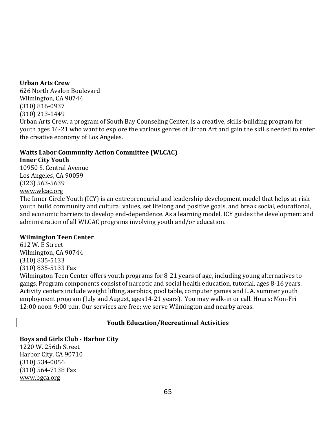## **Urban Arts Crew**

626 North Avalon Boulevard Wilmington, CA 90744 (310) 816‐0937 (310) 213‐1449

Urban Arts Crew, a program of South Bay Counseling Center, is a creative, skills‐building program for youth ages 16‐21 who want to explore the various genres of Urban Art and gain the skills needed to enter the creative economy of Los Angeles.

# **Watts Labor Community Action Committee (WLCAC)**

# **Inner City Youth**

10950 S. Central Avenue Los Angeles, CA 90059 (323) 563‐5639 [www.wlcac.org](http://www.wlcac.org/)

The Inner Circle Youth (ICY) is an entrepreneurial and leadership development model that helps at‐risk youth build community and cultural values, set lifelong and positive goals, and break social, educational, and economic barriers to develop end‐dependence. As a learning model, ICY guides the development and administration of all WLCAC programs involving youth and/or education.

# **Wilmington Teen Center**

612 W. E Street Wilmington, CA 90744 (310) 835‐5133 (310) 835‐5133 Fax Wilmington Teen Center offers youth programs for 8‐21 years of age, including young alternatives to gangs. Program components consist of narcotic and social health education, tutorial, ages 8‐16 years. Activity centers include weight lifting, aerobics, pool table, computer games and L.A. summer youth employment program (July and August, ages14‐21 years). You may walk‐in or call. Hours: Mon‐Fri 12:00 noon‐9:00 p.m. Our services are free; we serve Wilmington and nearby areas.

# **Youth Education/Recreational Activities**

# **Boys and Girls Club Harbor City**

1220 W. 256th Street Harbor City, CA 90710 (310) 534‐0056 (310) 564‐7138 Fax [www.bgca.org](http://www.bgca.org/)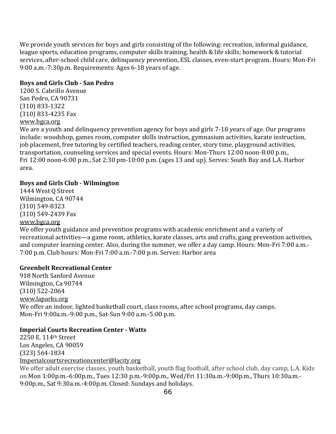We provide youth services for boys and girls consisting of the following: recreation, informal guidance, league sports, education programs, computer skills training, health & life skills; homework & tutorial services, after-school child care, delinquency prevention, ESL classes, even-start program. Hours: Mon-Fri 9:00 a.m.‐7:30p.m. Requirements: Ages 6‐18 years of age.

## **Boys and Girls Club San Pedro**

1200 S. Cabrillo Avenue San Pedro, CA 90731 (310) 833‐1322 (310) 833‐4235 Fax [www.bgca.org](http://www.bgca.org/) 

We are a youth and delinquency prevention agency for boys and girls 7-18 years of age. Our programs include: woodshop, games room, computer skills instruction, gymnasium activities, karate instruction, job placement, free tutoring by certified teachers, reading center, story time, playground activities, transportation, counseling services and special events. Hours: Mon-Thurs 12:00 noon-8:00 p.m., Fri 12:00 noon‐6:00 p.m., Sat 2:30 pm‐10:00 p.m. (ages 13 and up). Serves: South Bay and L.A. Harbor area.

## **Boys and Girls Club Wilmington**

1444 West Q Street Wilmington, CA 90744 (310) 549‐8323 (310) 549‐2439 Fax [www.bgca.org](http://www.bgca.org/) 

We offer youth guidance and prevention programs with academic enrichment and a variety of recreational activities—a game room, athletics, karate classes, arts and crafts, gang prevention activities, and computer learning center. Also, during the summer, we offer a day camp. Hours: Mon‐Fri 7:00 a.m.‐ 7:00 p.m. Club hours: Mon‐Fri 7:00 a.m.‐7:00 p.m. Serves: Harbor area

## **Greenbelt Recreational Center**

918 North Sanford Avenue Wilmington, Ca 90744 (310) 522‐2064 [www.laparks.org](http://www.laparks.org/) We offer an indoor, lighted basketball court, class rooms, after school programs, day camps. Mon‐Fri 9:00a.m.‐9:00 p.m., Sat‐Sun 9:00 a.m.‐5:00 p.m.

# **Imperial Courts Recreation Center Watts**

2250 E. 114th Street Los Angeles, CA 90059 (323) 564‐1834 [Imperialcourtsrecreationcenter@lacity.org](mailto:Imperialcourtsrecreationcenter@lacity.org)

We offer adult exercise classes, youth basketball, youth flag football, after school club, day camp, L.A. Kids on Mon 1:00p.m.‐6:00p.m., Tues 12:30 p.m.‐9:00p.m., Wed/Fri 11:30a.m.‐9:00p.m., Thurs 10:30a.m.‐ 9:00p.m., Sat 9:30a.m.‐4:00p.m. Closed: Sundays and holidays.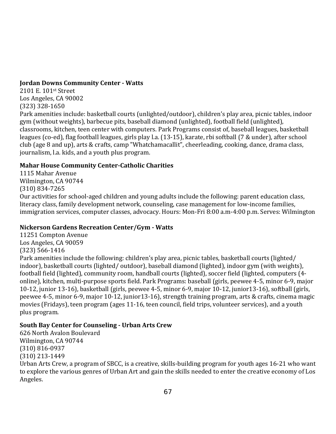# **Jordan Downs Community Center Watts**

2101 E. 101st Street Los Angeles, CA 90002 (323) 328‐1650

Park amenities include: basketball courts (unlighted/outdoor), children's play area, picnic tables, indoor gym (without weights), barbecue pits, baseball diamond (unlighted), football field (unlighted), classrooms, kitchen, teen center with computers. Park Programs consist of, baseball leagues, basketball leagues (co‐ed), flag football leagues, girls play l.a. (13‐15), karate, rbi softball (7 & under), after school club (age 8 and up), arts & crafts, camp "Whatchamacallit", cheerleading, cooking, dance, drama class, journalism, l.a. kids, and a youth plus program.

# **Mahar House Community CenterCatholic Charities**

1115 Mahar Avenue Wilmington, CA 90744 (310) 834‐7265 Our activities for school‐aged children and young adults include the following: parent education class, literacy class, family development network, counseling, case management for low-income families, immigration services, computer classes, advocacy. Hours: Mon‐Fri 8:00 a.m‐4:00 p.m. Serves: Wilmington

# **Nickerson Gardens Recreation Center/Gym Watts**

11251 Compton Avenue Los Angeles, CA 90059 (323) 566‐1416 Park amenities include the following: children's play area, picnic tables, basketball courts (lighted/ indoor), basketball courts (lighted/ outdoor), baseball diamond (lighted), indoor gym (with weights), football field (lighted), community room, handball courts (lighted), soccer field (lighted, computers (4‐ online), kitchen, multi‐purpose sports field. Park Programs: baseball (girls, peewee 4‐5, minor 6‐9, major 10‐12, junior 13‐16), basketball (girls, peewee 4‐5, minor 6‐9, major 10‐12, junior13‐16), softball (girls, peewee 4‐5, minor 6‐9, major 10‐12, junior13‐16), strength training program, arts & crafts, cinema magic movies (Fridays), teen program (ages 11‐16, teen council, field trips, volunteer services), and a youth plus program.

# **South Bay Center for Counseling Urban Arts Crew**

626 North Avalon Boulevard Wilmington, CA 90744 (310) 816‐0937 (310) 213‐1449

Urban Arts Crew, a program of SBCC, is a creative, skills‐building program for youth ages 16‐21 who want to explore the various genres of Urban Art and gain the skills needed to enter the creative economy of Los Angeles.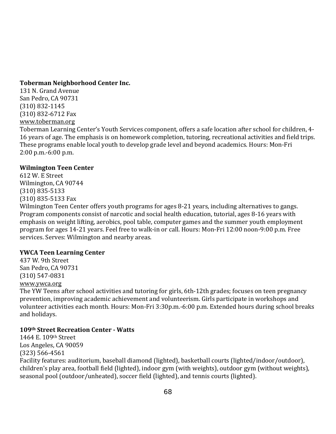### **Toberman Neighborhood Center Inc.**

131 N. Grand Avenue San Pedro, CA 90731 (310) 832‐1145 (310) 832‐6712 Fax [www.toberman.org](http://www.toberman.org/)

Toberman Learning Center's Youth Services component, offers a safe location after school for children, 4‐ 16 years of age. The emphasis is on homework completion, tutoring, recreational activities and field trips. These programs enable local youth to develop grade level and beyond academics. Hours: Mon‐Fri 2:00 p.m.‐6:00 p.m.

### **Wilmington Teen Center**

612 W. E Street Wilmington, CA 90744 (310) 835‐5133 (310) 835‐5133 Fax

Wilmington Teen Center offers youth programs for ages 8-21 years, including alternatives to gangs. Program components consist of narcotic and social health education, tutorial, ages 8‐16 years with emphasis on weight lifting, aerobics, pool table, computer games and the summer youth employment program for ages 14‐21 years. Feel free to walk‐in or call. Hours: Mon‐Fri 12:00 noon‐9:00 p.m. Free services. Serves: Wilmington and nearby areas.

# **YWCA Teen Learning Center**

437 W. 9th Street San Pedro, CA 90731 (310) 547‐0831 [www.ywca.org](http://www.ywca.org/) 

The YW Teens after school activities and tutoring for girls, 6th‐12th grades; focuses on teen pregnancy prevention, improving academic achievement and volunteerism. Girls participate in workshops and volunteer activities each month. Hours: Mon‐Fri 3:30p.m.‐6:00 p.m. Extended hours during school breaks and holidays.

# **109th Street Recreation Center Watts**

1464 E. 109th Street Los Angeles, CA 90059 (323) 566‐4561 Facility features: auditorium, baseball diamond (lighted), basketball courts (lighted/indoor/outdoor), children's play area, football field (lighted), indoor gym (with weights), outdoor gym (without weights), seasonal pool (outdoor/unheated), soccer field (lighted), and tennis courts (lighted).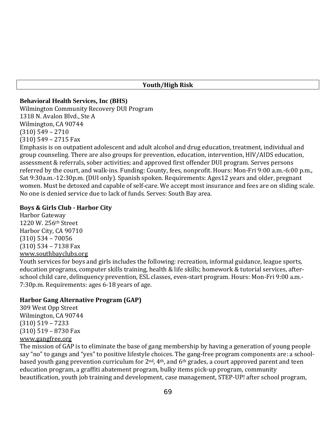#### **Youth/High Risk**

### **Behavioral Health Services, Inc (BHS)**

Wilmington Community Recovery DUI Program 1318 N. Avalon Blvd., Ste A Wilmington, CA 90744 (310) 549 – 2710 (310) 549 – 2715 Fax

Emphasis is on outpatient adolescent and adult alcohol and drug education, treatment, individual and group counseling. There are also groups for prevention, education, intervention, HIV/AIDS education, assessment & referrals, sober activities; and approved first offender DUI program. Serves persons referred by the court, and walk‐ins. Funding: County, fees, nonprofit. Hours: Mon‐Fri 9:00 a.m.‐6:00 p.m., Sat 9:30a.m.‐12:30p.m. (DUI only). Spanish spoken. Requirements: Ages12 years and older, pregnant women. Must be detoxed and capable of self-care. We accept most insurance and fees are on sliding scale. No one is denied service due to lack of funds. Serves: South Bay area.

### **Boys & Girls Club Harbor City**

Harbor Gateway 1220 W. 256th Street Harbor City, CA 90710 (310) 534 – 70056 (310) 534 – 7138 Fax [www.southbayclubs.org](http://www.southbayclubs.org/)

Youth services for boys and girls includes the following: recreation, informal guidance, league sports, education programs, computer skills training, health & life skills; homework & tutorial services, after‐ school child care, delinquency prevention, ESL classes, even‐start program. Hours: Mon‐Fri 9:00 a.m.‐ 7:30p.m. Requirements: ages 6‐18 years of age.

# **Harbor Gang Alternative Program (GAP)**

309 West Opp Street Wilmington, CA 90744 (310) 519 – 7233 [\(310\) 519 – 8730 F](http://www.gangfree.org/)ax www.gangfree.org

The mission of GAP is to eliminate the base of gang membership by having a generation of young people say "no" to gangs and "yes" to positive lifestyle choices. The gang-free program components are: a schoolbased youth gang prevention curriculum for 2nd, 4th, and 6th grades, a court approved parent and teen education program, a graffiti abatement program, bulky items pick‐up program, community beautification, youth job training and development, case management, STEP‐UP! after school program,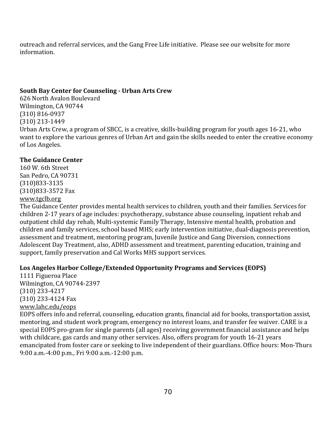outreach and referral services, and the Gang Free Life initiative. Please see our website for more information.

#### **South Bay Center for Counseling Urban Arts Crew**

626 North Avalon Boulevard Wilmington, CA 90744 (310) 816‐0937 (310) 213‐1449 Urban Arts Crew, a program of SBCC, is a creative, skills‐building program for youth ages 16‐21, who want to explore the various genres of Urban Art and gain the skills needed to enter the creative economy of Los Angeles.

#### **The Guidance Center**

160 W. 6th Street San Pedro, CA 90731 (310)833‐3135 (310)833‐3572 Fax [www.tgclb.org](http://www.tgclb.org/)

The Guidance Center provides mental health services to children, youth and their families. Services for children 2‐17 years of age includes: psychotherapy, substance abuse counseling, inpatient rehab and outpatient child day rehab, Multi‐systemic Family Therapy, Intensive mental health, probation and children and family services, school based MHS; early intervention initiative, dual‐diagnosis prevention, assessment and treatment, mentoring program, Juvenile Justice and Gang Diversion, connections Adolescent Day Treatment, also, ADHD assessment and treatment, parenting education, training and support, family preservation and Cal Works MHS support services.

### **Los Angeles Harbor College/Extended Opportunity Programs and Services (EOPS)**

1111 Figueroa Place Wilmington, CA 90744‐2397 (310) 233‐4217 (310) 233‐4124 Fax www.lahc.edu/eops

EOPS offers info and referral, counseling, education grants, financial aid for books, transportation assist, mentoring, and student work program, emergency no interest loans, and transfer fee waiver. CARE is a special EOPS pro‐gram for single parents (all ages) receiving government financial assistance and helps with childcare, gas cards and many other services. Also, offers program for youth 16‐21 years emancipated from foster care or seeking to live independent of their guardians. Office hours: Mon‐Thurs 9:00 a.m.‐4:00 p.m., Fri 9:00 a.m.‐12:00 p.m.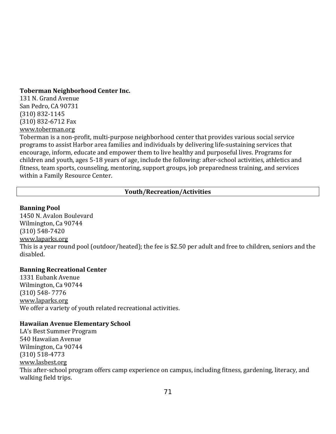#### **Toberman Neighborhood Center Inc.**

131 N. Grand Avenue San Pedro, CA 90731 (310) 832‐1145 (310) 832‐6712 Fax www.toberman.org

Toberman is a non‐profit, multi‐purpose neighborhood center that provides various social service programs to assist Harbor area families and individuals by delivering life‐sustaining services that encourage, inform, educate and empower them to live healthy and purposeful lives. Programs for children and youth, ages 5‐18 years of age, include the following: after‐school activities, athletics and fitness, team sports, counseling, mentoring, support groups, job preparedness training, and services within a Family Resource Center.

### **Youth/Recreation/Activities**

#### **Banning Pool**

1450 N. Avalon Boulevard Wilmington, Ca 90744 (310) 548‐7420 [www.laparks.org](http://www.laparks.org/) This is a year round pool (outdoor/heated); the fee is \$2.50 per adult and free to children, seniors and the disabled.

### **Banning Recreational Center**

1331 Eubank Avenue Wilmington, Ca 90744 (310) 548‐ 7776 [www.laparks.org](http://www.laparks.org/) We offer a variety of youth related recreational activities.

#### **Hawaiian Avenue Elementary School**

LA's Best Summer Program 540 Hawaiian Avenue Wilmington, Ca 90744 (310) 518‐4773 [www.lasbest.org](http://www.lasbest.org/) This after‐school program offers camp experience on campus, including fitness, gardening, literacy, and walking field trips.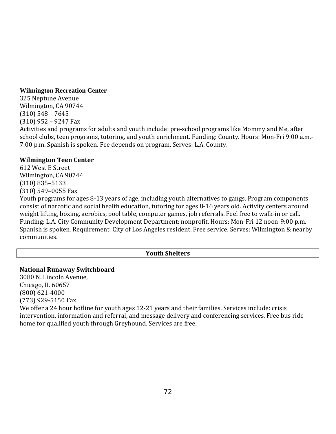#### **Wilmington Recreation Center**

325 Neptune Avenue Wilmington, CA 90744 (310) 548 – 7645 (310) 952 – 9247 Fax

Activities and programs for adults and youth include: pre‐school programs like Mommy and Me, after school clubs, teen programs, tutoring, and youth enrichment. Funding: County. Hours: Mon‐Fri 9:00 a.m.‐ 7:00 p.m. Spanish is spoken. Fee depends on program. Serves: L.A. County.

### **Wilmington Teen Center**

612 West E Street Wilmington, CA 90744 (310) 835–5133 (310) 549–0055 Fax

Youth programs for ages 8‐13 years of age, including youth alternatives to gangs. Program components consist of narcotic and social health education, tutoring for ages 8‐16 years old. Activity centers around weight lifting, boxing, aerobics, pool table, computer games, job referrals. Feel free to walk‐in or call. Funding: L.A. City Community Development Department; nonprofit. Hours: Mon-Fri 12 noon-9:00 p.m. Spanish is spoken. Requirement: City of Los Angeles resident. Free service. Serves: Wilmington & nearby communities.

# **Youth Shelters**

### **National Runaway Switchboard**

3080 N. Lincoln Avenue, Chicago, IL 60657 (800) 621‐4000 (773) 929‐5150 Fax

We offer a 24 hour hotline for youth ages 12-21 years and their families. Services include: crisis intervention, information and referral, and message delivery and conferencing services. Free bus ride home for qualified youth through Greyhound. Services are free.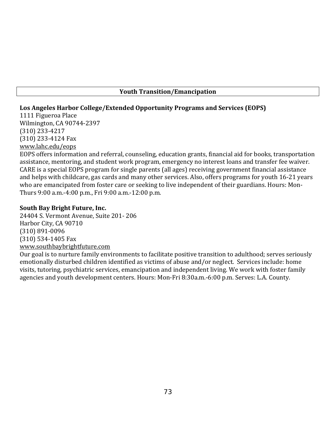### **Youth Transition/Emancipation**

## **Los Angeles Harbor College/Extended Opportunity Programs and Services (EOPS)**

1111 Figueroa Place Wilmington, CA 90744‐2397 (310) 233‐4217 (310) 233‐4124 Fax www.lahc.edu/eops

EOPS offers information and referral, counseling, education grants, financial aid for books, transportation assistance, mentoring, and student work program, emergency no interest loans and transfer fee waiver. CARE is a special EOPS program for single parents (all ages) receiving government financial assistance and helps with childcare, gas cards and many other services. Also, offers programs for youth 16‐21 years who are emancipated from foster care or seeking to live independent of their guardians. Hours: Mon-Thurs 9:00 a.m.‐4:00 p.m., Fri 9:00 a.m.‐12:00 p.m.

### **South Bay Bright Future, Inc.**

24404 S. Vermont Avenue, Suite 201‐ 206 Harbor City, CA 90710 (310) 891‐0096 (310) 534‐1405 Fax www.southbaybrightfuture.com

Our goal is to nurture family environments to facilitate positive transition to adulthood; serves seriously emotionally disturbed children identified as victims of abuse and/or neglect. Services include: home visits, tutoring, psychiatric services, emancipation and independent living. We work with foster family agencies and youth development centers. Hours: Mon‐Fri 8:30a.m.‐6:00 p.m. Serves: L.A. County.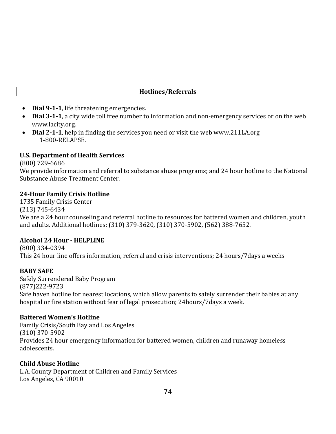### **Hotlines/Referrals**

- **Dial 911**, life threatening emergencies.
- **Dial 311**, a city wide toll free number to information and non‐emergency services or on the web [www.lacity.org](http://www.lacity.org/).
- **Dial 211**, help in finding the services you need or visit the web www.211LA.org 1‐800‐RELAPSE.

### **U.S. Department of Health Services**

(800) 729‐6686

We provide information and referral to substance abuse programs; and 24 hour hotline to the National Substance Abuse Treatment Center.

#### **24Hour Family Crisis Hotline**

1735 Family Crisis Center (213) 745‐6434 We are a 24 hour counseling and referral hotline to resources for battered women and children, youth and adults. Additional hotlines: (310) 379‐3620, (310) 370‐5902, (562) 388‐7652.

### **Alcohol 24 Hour HELPLINE**

(800) 334‐0394 This 24 hour line offers information, referral and crisis interventions; 24 hours/7days a weeks

### **BABY SAFE**

Safely Surrendered Baby Program (877)222‐9723 Safe haven hotline for nearest locations, which allow parents to safely surrender their babies at any hospital or fire station without fear of legal prosecution; 24hours/7days a week.

### **Battered Women's Hotline**

Family Crisis/South Bay and Los Angeles (310) 370‐5902 Provides 24 hour emergency information for battered women, children and runaway homeless adolescents.

### **Child Abuse Hotline**

L.A. County Department of Children and Family Services Los Angeles, CA 90010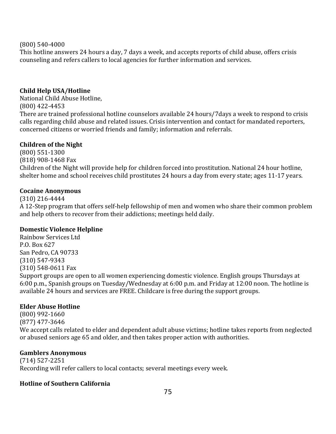#### (800) 540‐4000

This hotline answers 24 hours a day, 7 days a week, and accepts reports of child abuse, offers crisis counseling and refers callers to local agencies for further information and services.

### **Child Help USA/Hotline**

National Child Abuse Hotline, (800) 422‐4453 There are trained professional hotline counselors available 24 hours/7days a week to respond to crisis calls regarding child abuse and related issues. Crisis intervention and contact for mandated reporters, concerned citizens or worried friends and family; information and referrals.

### **Children of the Night**

(800) 551‐1300 (818) 908‐1468 Fax Children of the Night will provide help for children forced into prostitution. National 24 hour hotline, shelter home and school receives child prostitutes 24 hours a day from every state; ages 11‐17 years.

### **Cocaine Anonymous**

(310) 216‐4444 A 12‐Step program that offers self‐help fellowship of men and women who share their common problem and help others to recover from their addictions; meetings held daily.

# **Domestic Violence Helpline**

Rainbow Services Ltd P.O. Box 627 San Pedro, CA 90733 (310) 547‐9343 (310) 548‐0611 Fax Support groups are open to all women experiencing domestic violence. English groups Thursdays at 6:00 p.m., Spanish groups on Tuesday/Wednesday at 6:00 p.m. and Friday at 12:00 noon. The hotline is available 24 hours and services are FREE. Childcare is free during the support groups.

# **Elder Abuse Hotline**

(800) 992‐1660 (877) 477‐3646 We accept calls related to elder and dependent adult abuse victims; hotline takes reports from neglected or abused seniors age 65 and older, and then takes proper action with authorities.

### **Gamblers Anonymous**

(714) 527‐2251 Recording will refer callers to local contacts; several meetings every week.

# **Hotline of Southern California**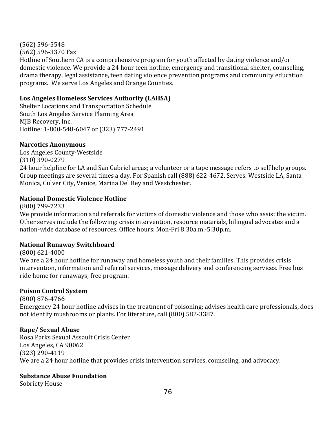(562) 596‐5548 (562) 596‐3370 Fax Hotline of Southern CA is a comprehensive program for youth affected by dating violence and/or domestic violence. We provide a 24 hour teen hotline, emergency and transitional shelter, counseling, drama therapy, legal assistance, teen dating violence prevention programs and community education programs. We serve Los Angeles and Orange Counties.

### **Los Angeles Homeless Services Authority (LAHSA)**

Shelter Locations and Transportation Schedule South Los Angeles Service Planning Area MJB Recovery, Inc. Hotline: 1‐800‐548‐6047 or (323) 777‐2491

### **Narcotics Anonymous**

Los Angeles County‐Westside (310) 390‐0279

24 hour helpline for LA and San Gabriel areas; a volunteer or a tape message refers to self help groups. Group meetings are several times a day. For Spanish call (888) 622‐4672. Serves: Westside LA, Santa Monica, Culver City, Venice, Marina Del Rey and Westchester.

# **National Domestic Violence Hotline**

(800) 799‐7233 We provide information and referrals for victims of domestic violence and those who assist the victim. Other serves include the following: crisis intervention, resource materials, bilingual advocates and a nation‐wide database of resources. Office hours: Mon‐Fri 8:30a.m.‐5:30p.m.

# **National Runaway Switchboard**

### (800) 621‐4000

We are a 24 hour hotline for runaway and homeless youth and their families. This provides crisis intervention, information and referral services, message delivery and conferencing services. Free bus ride home for runaways; free program.

# **Poison Control System**

(800) 876‐4766

Emergency 24 hour hotline advises in the treatment of poisoning; advises health care professionals, does not identify mushrooms or plants. For literature, call (800) 582‐3387.

# **Rape/ Sexual Abuse**

Rosa Parks Sexual Assault Crisis Center Los Angeles, CA 90062 (323) 290‐4119 We are a 24 hour hotline that provides crisis intervention services, counseling, and advocacy.

# **Substance Abuse Foundation**

Sobriety House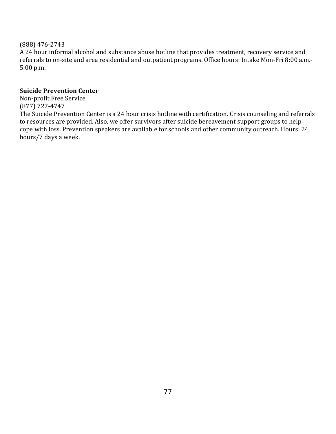### (888) 476‐2743

A 24 hour informal alcohol and substance abuse hotline that provides treatment, recovery service and referrals to on‐site and area residential and outpatient programs. Office hours: Intake Mon‐Fri 8:00 a.m.‐ 5:00 p.m.

### **Suicide Prevention Center**

Non‐profit Free Service (877) 727‐4747

The Suicide Prevention Center is a 24 hour crisis hotline with certification. Crisis counseling and referrals to resources are provided. Also, we offer survivors after suicide bereavement support groups to help cope with loss. Prevention speakers are available for schools and other community outreach. Hours: 24 hours/7 days a week.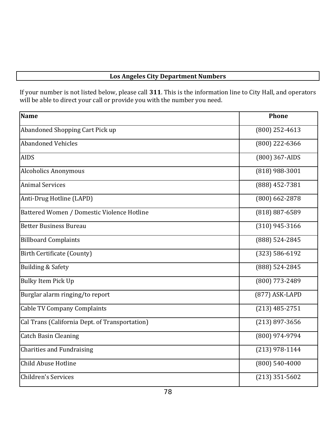# **Los Angeles City Department Numbers**

If your number is not listed below, please call **311**. This is the information line to City Hall, and operators will be able to direct your call or provide you with the number you need.

| Name                                           | <b>Phone</b>       |
|------------------------------------------------|--------------------|
| Abandoned Shopping Cart Pick up                | $(800)$ 252-4613   |
| <b>Abandoned Vehicles</b>                      | (800) 222-6366     |
| <b>AIDS</b>                                    | (800) 367-AIDS     |
| <b>Alcoholics Anonymous</b>                    | $(818)$ 988-3001   |
| <b>Animal Services</b>                         | $(888)$ 452-7381   |
| Anti-Drug Hotline (LAPD)                       | $(800)$ 662-2878   |
| Battered Women / Domestic Violence Hotline     | $(818) 887 - 6589$ |
| <b>Better Business Bureau</b>                  | $(310)$ 945-3166   |
| <b>Billboard Complaints</b>                    | (888) 524-2845     |
| <b>Birth Certificate (County)</b>              | $(323) 586 - 6192$ |
| <b>Building &amp; Safety</b>                   | (888) 524-2845     |
| <b>Bulky Item Pick Up</b>                      | (800) 773-2489     |
| Burglar alarm ringing/to report                | (877) ASK-LAPD     |
| <b>Cable TV Company Complaints</b>             | $(213)$ 485-2751   |
| Cal Trans (California Dept. of Transportation) | $(213)$ 897-3656   |
| <b>Catch Basin Cleaning</b>                    | (800) 974-9794     |
| <b>Charities and Fundraising</b>               | $(213)$ 978-1144   |
| Child Abuse Hotline                            | $(800) 540 - 4000$ |
| Children's Services                            | $(213)$ 351-5602   |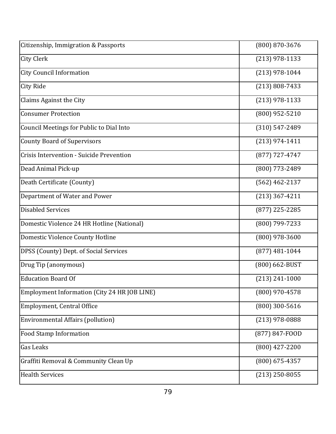| Citizenship, Immigration & Passports         | $(800)$ 870-3676   |
|----------------------------------------------|--------------------|
| <b>City Clerk</b>                            | $(213)$ 978-1133   |
| <b>City Council Information</b>              | $(213)$ 978-1044   |
| <b>City Ride</b>                             | $(213) 808 - 7433$ |
| Claims Against the City                      | $(213)$ 978-1133   |
| <b>Consumer Protection</b>                   | $(800)$ 952-5210   |
| Council Meetings for Public to Dial Into     | $(310) 547 - 2489$ |
| <b>County Board of Supervisors</b>           | $(213)$ 974-1411   |
| Crisis Intervention - Suicide Prevention     | $(877)$ 727-4747   |
| Dead Animal Pick-up                          | $(800)$ 773-2489   |
| Death Certificate (County)                   | $(562)$ 462-2137   |
| Department of Water and Power                | $(213)$ 367-4211   |
| <b>Disabled Services</b>                     | $(877)$ 225-2285   |
| Domestic Violence 24 HR Hotline (National)   | (800) 799-7233     |
| Domestic Violence County Hotline             | $(800)$ 978-3600   |
| DPSS (County) Dept. of Social Services       | $(877)$ 481-1044   |
| Drug Tip (anonymous)                         | (800) 662-BUST     |
| <b>Education Board Of</b>                    | $(213) 241 - 1000$ |
| Employment Information (City 24 HR JOB LINE) | (800) 970-4578     |
| Employment, Central Office                   | $(800)$ 300-5616   |
| <b>Environmental Affairs (pollution)</b>     | $(213)$ 978-0888   |
| Food Stamp Information                       | (877) 847-FOOD     |
| <b>Gas Leaks</b>                             | $(800)$ 427-2200   |
| Graffiti Removal & Community Clean Up        | $(800)$ 675-4357   |
| <b>Health Services</b>                       | $(213)$ 250-8055   |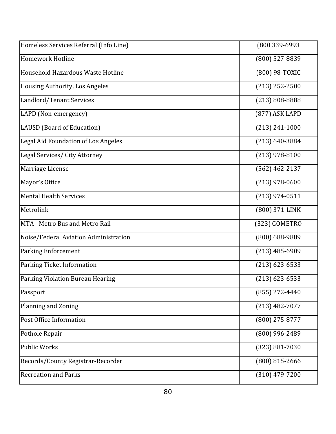| Homeless Services Referral (Info Line) | (800 339-6993      |
|----------------------------------------|--------------------|
| <b>Homework Hotline</b>                | (800) 527-8839     |
| Household Hazardous Waste Hotline      | (800) 98-TOXIC     |
| Housing Authority, Los Angeles         | $(213)$ 252-2500   |
| Landlord/Tenant Services               | $(213) 808 - 8888$ |
| LAPD (Non-emergency)                   | (877) ASK LAPD     |
| LAUSD (Board of Education)             | $(213) 241 - 1000$ |
| Legal Aid Foundation of Los Angeles    | $(213) 640 - 3884$ |
| Legal Services/ City Attorney          | $(213)$ 978-8100   |
| Marriage License                       | $(562)$ 462-2137   |
| Mayor's Office                         | $(213)$ 978-0600   |
| <b>Mental Health Services</b>          | $(213)$ 974-0511   |
| Metrolink                              | (800) 371-LINK     |
| MTA - Metro Bus and Metro Rail         | (323) GOMETRO      |
| Noise/Federal Aviation Administration  | $(800)$ 688-9889   |
| <b>Parking Enforcement</b>             | $(213)$ 485-6909   |
| Parking Ticket Information             | $(213)$ 623-6533   |
| Parking Violation Bureau Hearing       | $(213)$ 623-6533   |
| Passport                               | $(855)$ 272-4440   |
| Planning and Zoning                    | $(213)$ 482-7077   |
| Post Office Information                | $(800)$ 275-8777   |
| Pothole Repair                         | (800) 996-2489     |
| <b>Public Works</b>                    | $(323) 881 - 7030$ |
| Records/County Registrar-Recorder      | $(800)$ 815-2666   |
| <b>Recreation and Parks</b>            | $(310)$ 479-7200   |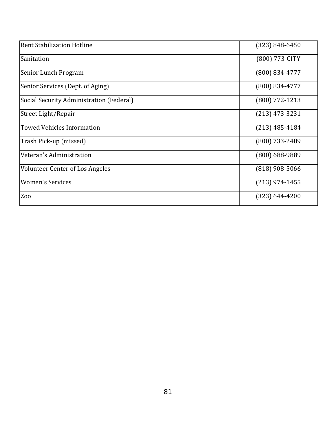| <b>Rent Stabilization Hotline</b>        | $(323) 848 - 6450$ |
|------------------------------------------|--------------------|
| Sanitation                               | (800) 773-CITY     |
| Senior Lunch Program                     | $(800) 834 - 4777$ |
| Senior Services (Dept. of Aging)         | $(800) 834 - 4777$ |
| Social Security Administration (Federal) | $(800)$ 772-1213   |
| Street Light/Repair                      | $(213)$ 473-3231   |
| <b>Towed Vehicles Information</b>        | $(213)$ 485-4184   |
| Trash Pick-up (missed)                   | $(800)$ 733-2489   |
| Veteran's Administration                 | $(800)$ 688-9889   |
| <b>Volunteer Center of Los Angeles</b>   | $(818)$ 908-5066   |
| <b>Women's Services</b>                  | $(213)$ 974-1455   |
| Zoo                                      | $(323) 644 - 4200$ |